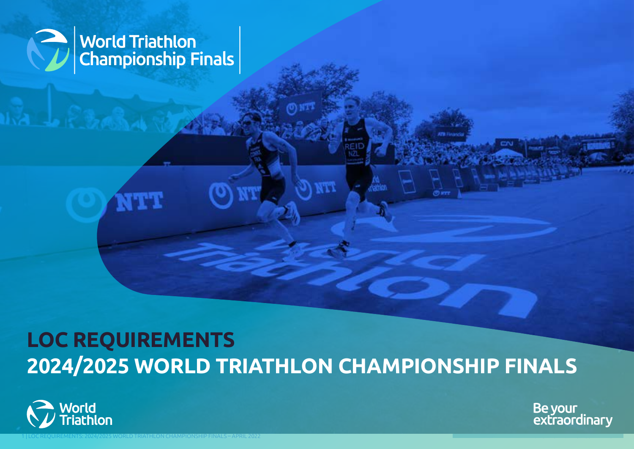

# **LOC REQUIREMENTS 2024/2025 WORLD TRIATHLON CHAMPIONSHIP FINALS**

1 | LOC REQUIREMENTS: 2024/2025 WORLD TRIATHLON CHAMPIONSHIP FINALS – APRIL 2022 [BACK TO TABLE OF CONTENTS](#page-1-0) OF CONTENTS (SOMETIME OF CONTENTS) , and the content of contents of contents of contents of contents of contents of

TTH 1



Be your<br>extraordinary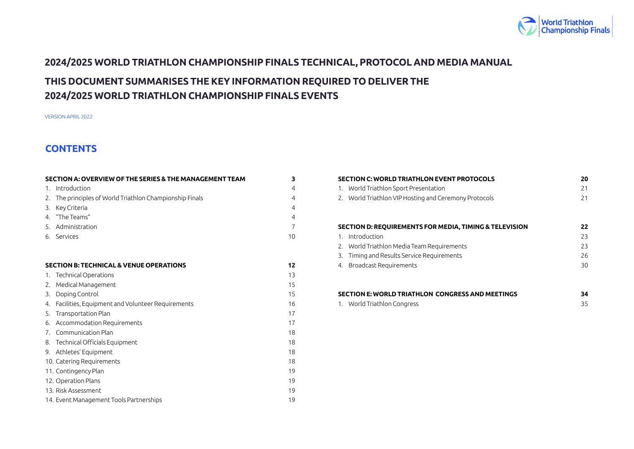

# <span id="page-1-0"></span>**2024/2025 WORLD TRIATHLON CHAMPIONSHIP FINALS TECHNICAL, PROTOCOL AND MEDIA MANUAL**

# **THIS DOCUMENT SUMMARISES THE KEY INFORMATION REQUIRED TO DELIVER THE 2024/2025 WORLD TRIATHLON CHAMPIONSHIP FINALS EVENTS**

VERSION APRIL 2022

# **CONTENTS**

|    | SECTION A: OVERVIEW OF THE SERIES & THE MANAGEMENT TEAM  | 3              |
|----|----------------------------------------------------------|----------------|
|    | 1. Introduction                                          | $\overline{4}$ |
|    | 2. The principles of World Triathlon Championship Finals | $\overline{4}$ |
| 3. | Key Criteria                                             | 4              |
|    | 4. "The Teams"                                           | 4              |
|    | 5. Administration                                        | $\overline{7}$ |
|    | 6. Services                                              | 10             |
|    |                                                          |                |
|    | <b>SECTION B: TECHNICAL &amp; VENUE OPERATIONS</b>       | 12             |
|    | 1. Technical Operations                                  | 13             |
|    | 2. Medical Management                                    | 15             |
|    | 3. Doping Control                                        | 15             |
|    | 4. Facilities, Equipment and Volunteer Requirements      | 16             |
|    | 5. Transportation Plan                                   | 17             |
|    | 6. Accommodation Requirements                            | 17             |
|    | 7. Communication Plan                                    | 18             |
|    | 8. Technical Officials Equipment                         | 18             |
|    | 9. Athletes' Equipment                                   | 18             |
|    | 10. Catering Requirements                                | 18             |
|    | 11. Contingency Plan                                     | 19             |
|    | 12. Operation Plans                                      | 19             |
|    | 13. Risk Assessment                                      | 19             |
|    | 14. Event Management Tools Partnerships                  | 19             |

| <b>SECTION C: WORLD TRIATHLON EVENT PROTOCOLS</b>      | 20 |
|--------------------------------------------------------|----|
| World Triathlon Sport Presentation<br>1.               | 21 |
| 2. World Triathlon VIP Hosting and Ceremony Protocols  | 21 |
|                                                        |    |
|                                                        |    |
| SECTION D: REQUIREMENTS FOR MEDIA, TIMING & TELEVISION | 22 |
| Introduction                                           | 23 |
| 2. World Triathlon Media Team Requirements             | 23 |
| Timing and Results Service Requirements<br>3.          | 26 |
| Broadcast Requirements<br>4.                           | 30 |
|                                                        |    |
|                                                        |    |

| SECTION E: WORLD TRIATHLON CONGRESS AND MEETINGS | 34 |
|--------------------------------------------------|----|
| 1. World Triathlon Congress                      |    |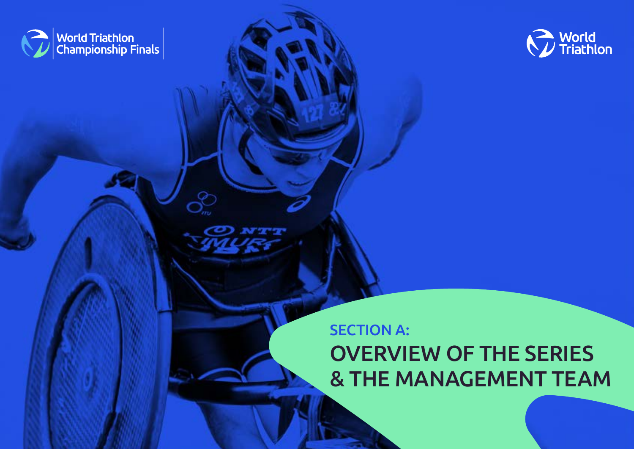<span id="page-2-0"></span>



# SECTION A: OVERVIEW OF THE SERIES & THE MANAGEMENT TEAM

3 | LOC REQUIREMENTS: 2024/2025 WORLD TRIATHLON CHAMPIONSHIP FINALS – APRIL 2022 [BACK TO TABLE OF CONTENTS](#page-1-0)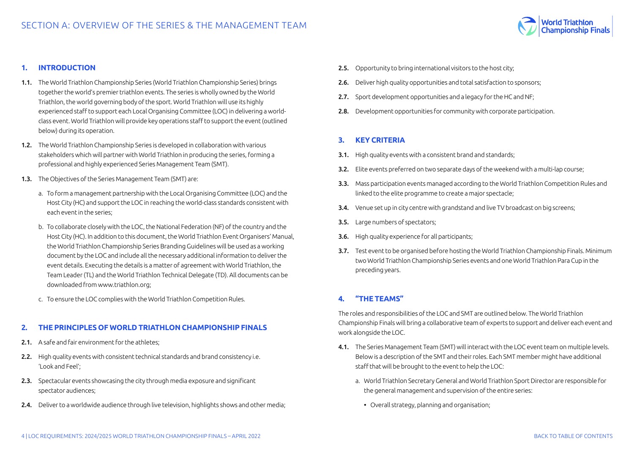

#### <span id="page-3-0"></span>**1. INTRODUCTION**

- 1.1. The World Triathlon Championship Series (World Triathlon Championship Series) brings together the world's premier triathlon events. The series is wholly owned by the World Triathlon, the world governing body of the sport. World Triathlon will use its highly experienced staff to support each Local Organising Committee (LOC) in delivering a worldclass event. World Triathlon will provide key operations staff to support the event (outlined below) during its operation.
- 1.2. The World Triathlon Championship Series is developed in collaboration with various stakeholders which will partner with World Triathlon in producing the series, forming a professional and highly experienced Series Management Team (SMT).
- 1.3. The Objectives of the Series Management Team (SMT) are:
	- a. To form a management partnership with the Local Organising Committee (LOC) and the Host City (HC) and support the LOC in reaching the world-class standards consistent with each event in the series;
	- b. To collaborate closely with the LOC, the National Federation (NF) of the country and the Host City (HC). In addition to this document, the World Triathlon Event Organisers' Manual, the World Triathlon Championship Series Branding Guidelines will be used as a working document by the LOC and include all the necessary additional information to deliver the event details. Executing the details is a matter of agreement with World Triathlon, the Team Leader (TL) and the World Triathlon Technical Delegate (TD). All documents can be downloaded from www.triathlon.org;
	- c. To ensure the LOC complies with the World Triathlon Competition Rules.

#### **2. THE PRINCIPLES OF WORLD TRIATHLON CHAMPIONSHIP FINALS**

- 2.1. A safe and fair environment for the athletes;
- 2.2. High quality events with consistent technical standards and brand consistency i.e. 'Look and Feel';
- 2.3. Spectacular events showcasing the city through media exposure and significant spectator audiences;
- 2.4. Deliver to a worldwide audience through live television, highlights shows and other media:
- 2.5. Opportunity to bring international visitors to the host city;
- 2.6. Deliver high quality opportunities and total satisfaction to sponsors:
- 2.7. Sport development opportunities and a legacy for the HC and NF;
- 2.8. Development opportunities for community with corporate participation.

# **3. KEY CRITERIA**

- 3.1. High quality events with a consistent brand and standards;
- 3.2. Elite events preferred on two separate days of the weekend with a multi-lap course;
- 3.3. Mass participation events managed according to the World Triathlon Competition Rules and linked to the elite programme to create a major spectacle;
- 3.4. Venue set up in city centre with grandstand and live TV broadcast on big screens:
- 3.5. Large numbers of spectators;
- 3.6. High quality experience for all participants;
- 3.7. Test event to be organised before hosting the World Triathlon Championship Finals. Minimum two World Triathlon Championship Series events and one World Triathlon Para Cup in the preceding years.

# **4. "THE TEAMS"**

The roles and responsibilities of the LOC and SMT are outlined below. The World Triathlon Championship Finals will bring a collaborative team of experts to support and deliver each event and work alongside the LOC.

- 4.1. The Series Management Team (SMT) will interact with the LOC event team on multiple levels. Below is a description of the SMT and their roles. Each SMT member might have additional staff that will be brought to the event to help the LOC:
	- a. World Triathlon Secretary General and World Triathlon Sport Director are responsible for the general management and supervision of the entire series:
		- Overall strategy, planning and organisation;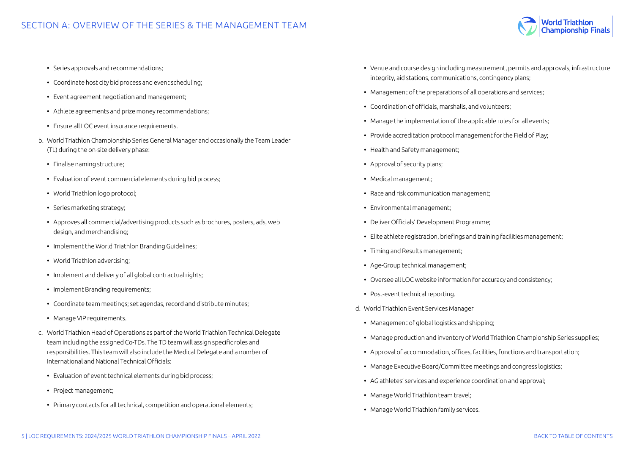

- Series approvals and recommendations;
- Coordinate host city bid process and event scheduling;
- Event agreement negotiation and management;
- Athlete agreements and prize money recommendations;
- Ensure all LOC event insurance requirements.
- b. World Triathlon Championship Series General Manager and occasionally the Team Leader (TL) during the on-site delivery phase:
	- Finalise naming structure;
	- Evaluation of event commercial elements during bid process;
	- World Triathlon logo protocol;
	- Series marketing strategy;
	- Approves all commercial/advertising products such as brochures, posters, ads, web design, and merchandising;
	- Implement the World Triathlon Branding Guidelines;
	- World Triathlon advertising;
	- Implement and delivery of all global contractual rights;
	- Implement Branding requirements;
	- Coordinate team meetings; set agendas, record and distribute minutes;
	- Manage VIP requirements.
- c. World Triathlon Head of Operations as part of the World Triathlon Technical Delegate team including the assigned Co-TDs. The TD team will assign specific roles and responsibilities. This team will also include the Medical Delegate and a number of International and National Technical Officials:
	- Evaluation of event technical elements during bid process;
	- Project management;
	- Primary contacts for all technical, competition and operational elements;
- Venue and course design including measurement, permits and approvals, infrastructure integrity, aid stations, communications, contingency plans;
- Management of the preparations of all operations and services;
- Coordination of officials, marshalls, and volunteers;
- Manage the implementation of the applicable rules for all events;
- Provide accreditation protocol management for the Field of Play;
- Health and Safety management;
- Approval of security plans;
- Medical management;
- Race and risk communication management;
- Environmental management;
- Deliver Officials' Development Programme;
- Elite athlete registration, briefings and training facilities management;
- Timing and Results management;
- Age-Group technical management;
- Oversee all LOC website information for accuracy and consistency;
- Post-event technical reporting.
- d. World Triathlon Event Services Manager
	- Management of global logistics and shipping;
	- Manage production and inventory of World Triathlon Championship Series supplies;
	- Approval of accommodation, offices, facilities, functions and transportation;
	- Manage Executive Board/Committee meetings and congress logistics;
	- AG athletes' services and experience coordination and approval;
	- Manage World Triathlon team travel;
	- Manage World Triathlon family services.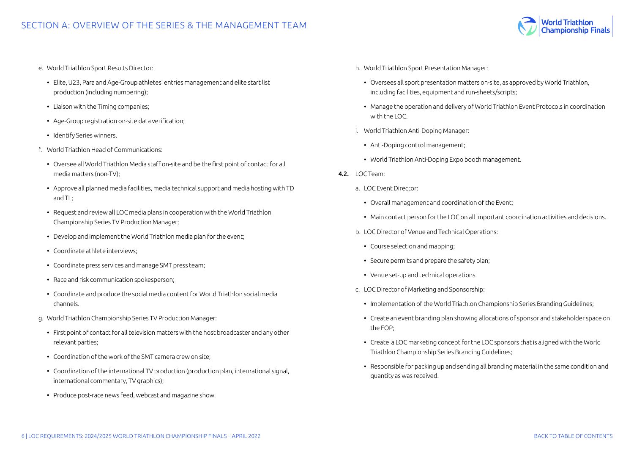

- e. World Triathlon Sport Results Director:
	- Elite, U23, Para and Age-Group athletes' entries management and elite start list production (including numbering);
	- Liaison with the Timing companies;
	- Age-Group registration on-site data verification;
	- Identify Series winners.
- f. World Triathlon Head of Communications:
	- Oversee all World Triathlon Media staff on-site and be the first point of contact for all media matters (non-TV);
	- Approve all planned media facilities, media technical support and media hosting with TD and TL;
	- Request and review all LOC media plans in cooperation with the World Triathlon Championship Series TV Production Manager;
	- Develop and implement the World Triathlon media plan for the event;
	- Coordinate athlete interviews;
	- Coordinate press services and manage SMT press team;
	- Race and risk communication spokesperson;
	- Coordinate and produce the social media content for World Triathlon social media channels.
- g. World Triathlon Championship Series TV Production Manager:
	- First point of contact for all television matters with the host broadcaster and any other relevant parties;
	- Coordination of the work of the SMT camera crew on site;
	- Coordination of the international TV production (production plan, international signal, international commentary, TV graphics);
	- Produce post-race news feed, webcast and magazine show.
- h. World Triathlon Sport Presentation Manager:
	- Oversees all sport presentation matters on-site, as approved by World Triathlon, including facilities, equipment and run-sheets/scripts;
	- Manage the operation and delivery of World Triathlon Event Protocols in coordination with the LOC.
- i. World Triathlon Anti-Doping Manager:
	- Anti-Doping control management;
	- World Triathlon Anti-Doping Expo booth management.
- 4.2. LOC Team:
	- a. LOC Event Director:
		- Overall management and coordination of the Event;
		- Main contact person for the LOC on all important coordination activities and decisions.
	- b. LOC Director of Venue and Technical Operations:
		- Course selection and mapping;
		- Secure permits and prepare the safety plan;
		- Venue set-up and technical operations.
	- c. LOC Director of Marketing and Sponsorship:
		- Implementation of the World Triathlon Championship Series Branding Guidelines;
		- Create an event branding plan showing allocations of sponsor and stakeholder space on the FOP;
		- Create a LOC marketing concept for the LOC sponsors that is aligned with the World Triathlon Championship Series Branding Guidelines;
		- Responsible for packing up and sending all branding material in the same condition and quantity as was received.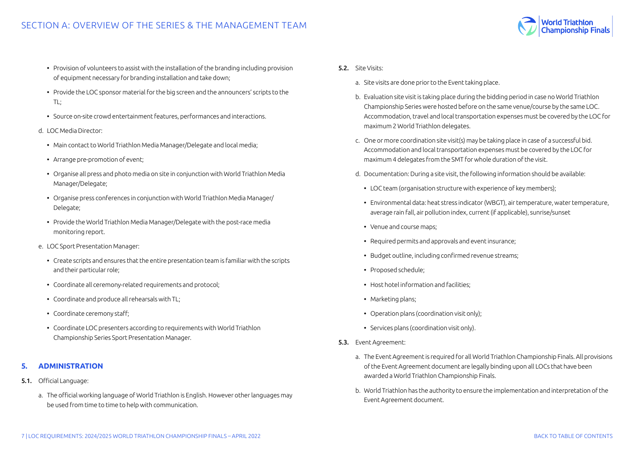- <span id="page-6-0"></span>• Provision of volunteers to assist with the installation of the branding including provision of equipment necessary for branding installation and take down;
- Provide the LOC sponsor material for the big screen and the announcers' scripts to the TL;
- Source on-site crowd entertainment features, performances and interactions.

#### d. LOC Media Director:

- Main contact to World Triathlon Media Manager/Delegate and local media;
- Arrange pre-promotion of event;
- Organise all press and photo media on site in conjunction with World Triathlon Media Manager/Delegate;
- Organise press conferences in conjunction with World Triathlon Media Manager/ Delegate;
- Provide the World Triathlon Media Manager/Delegate with the post-race media monitoring report.
- e. LOC Sport Presentation Manager:
	- Create scripts and ensures that the entire presentation team is familiar with the scripts and their particular role;
	- Coordinate all ceremony-related requirements and protocol;
	- Coordinate and produce all rehearsals with TL;
	- Coordinate ceremony staff;
	- Coordinate LOC presenters according to requirements with World Triathlon Championship Series Sport Presentation Manager.

# **5. ADMINISTRATION**

- 5.1. Official Language:
	- a. The official working language of World Triathlon is English. However other languages may be used from time to time to help with communication.
- 5.2. Site Visits:
	- a. Site visits are done prior to the Event taking place.
	- b. Evaluation site visit is taking place during the bidding period in case no World Triathlon Championship Series were hosted before on the same venue/course by the same LOC. Accommodation, travel and local transportation expenses must be covered by the LOC for maximum 2 World Triathlon delegates.
	- c. One or more coordination site visit(s) may be taking place in case of a successful bid. Accommodation and local transportation expenses must be covered by the LOC for maximum 4 delegates from the SMT for whole duration of the visit.
	- d. Documentation: During a site visit, the following information should be available:
		- LOC team (organisation structure with experience of key members);
		- Environmental data: heat stress indicator (WBGT), air temperature, water temperature, average rain fall, air pollution index, current (if applicable), sunrise/sunset
		- Venue and course maps;
	- Required permits and approvals and event insurance;
	- Budget outline, including confirmed revenue streams;
	- Proposed schedule;
	- Host hotel information and facilities;
	- Marketing plans;
	- Operation plans (coordination visit only);
	- Services plans (coordination visit only).
- 5.3. Event Agreement:
	- a. The Event Agreement is required for all World Triathlon Championship Finals. All provisions of the Event Agreement document are legally binding upon all LOCs that have been awarded a World Triathlon Championship Finals.
	- b. World Triathlon has the authority to ensure the implementation and interpretation of the Event Agreement document.

World Triathlon<br>Championship Finals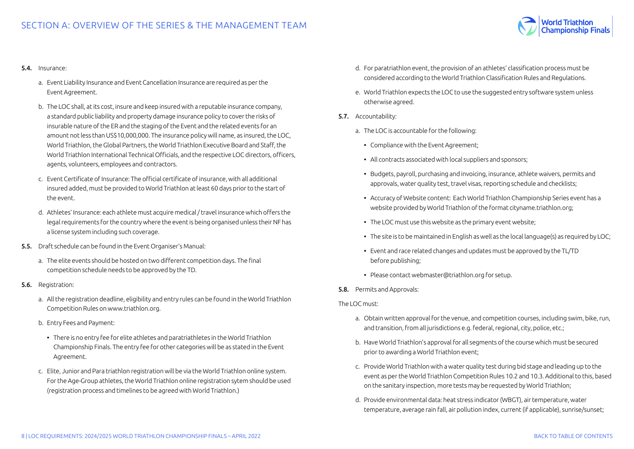

#### 5.4. Insurance:

- a. Event Liability Insurance and Event Cancellation Insurance are required as per the Event Agreement.
- b. The LOC shall, at its cost, insure and keep insured with a reputable insurance company, a standard public liability and property damage insurance policy to cover the risks of insurable nature of the ER and the staging of the Event and the related events for an amount not less than US\$10,000,000. The insurance policy will name, as insured, the LOC, World Triathlon, the Global Partners, the World Triathlon Executive Board and Staff, the World Triathlon International Technical Officials, and the respective LOC directors, officers, agents, volunteers, employees and contractors.
- c. Event Certificate of Insurance: The official certificate of insurance, with all additional insured added, must be provided to World Triathlon at least 60 days prior to the start of the event.
- d. Athletes' Insurance: each athlete must acquire medical / travel insurance which offers the legal requirements for the country where the event is being organised unless their NF has a license system including such coverage.
- 5.5. Draft schedule can be found in the Event Organiser's Manual:
	- a. The elite events should be hosted on two different competition days. The final competition schedule needs to be approved by the TD.
- 5.6. Registration:
	- a. All the registration deadline, eligibility and entry rules can be found in the World Triathlon Competition Rules on www.triathlon.org.
	- b. Entry Fees and Payment:
		- There is no entry fee for elite athletes and paratriathletes in the World Triathlon Championship Finals. The entry fee for other categories will be as stated in the Event Agreement.
	- c. Elite, Junior and Para triathlon registration will be via the World Triathlon online system. For the Age-Group athletes, the World Triathlon online registration sytem should be used (registration process and timelines to be agreed with World Triathlon.)
- d. For paratriathlon event, the provision of an athletes' classification process must be considered according to the World Triathlon Classification Rules and Regulations.
- e. World Triathlon expects the LOC to use the suggested entry software system unless otherwise agreed.
- 5.7. Accountability:
	- a. The LOC is accountable for the following:
		- Compliance with the Event Agreement;
		- All contracts associated with local suppliers and sponsors;
		- Budgets, payroll, purchasing and invoicing, insurance, athlete waivers, permits and approvals, water quality test, travel visas, reporting schedule and checklists;
		- Accuracy of Website content: Each World Triathlon Championship Series event has a website provided by World Triathlon of the format cityname.triathlon.org;
		- The LOC must use this website as the primary event website;
		- The site is to be maintained in English as well as the local language(s) as required by LOC;
		- Event and race related changes and updates must be approved by the TL/TD before publishing;
		- Please contact webmaster@triathlon.org for setup.
- 5.8. Permits and Approvals:

The LOC must:

- a. Obtain written approval for the venue, and competition courses, including swim, bike, run, and transition, from all jurisdictions e.g. federal, regional, city, police, etc.;
- b. Have World Triathlon's approval for all segments of the course which must be secured prior to awarding a World Triathlon event;
- c. Provide World Triathlon with a water quality test during bid stage and leading up to the event as per the World Triathlon Competition Rules 10.2 and 10.3. Additional to this, based on the sanitary inspection, more tests may be requested by World Triathlon;
- d. Provide environmental data: heat stress indicator (WBGT), air temperature, water temperature, average rain fall, air pollution index, current (if applicable), sunrise/sunset;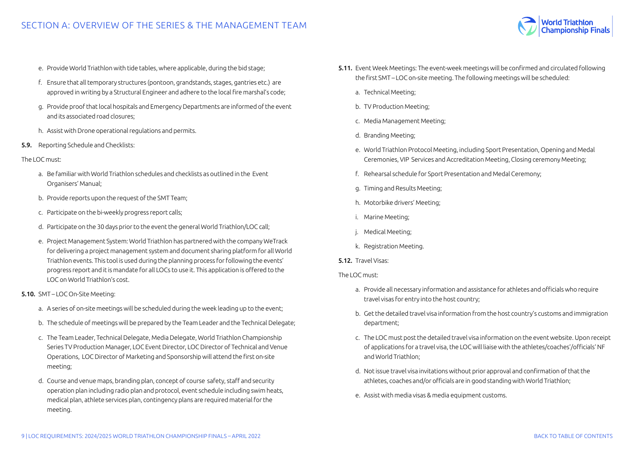

- e. Provide World Triathlon with tide tables, where applicable, during the bid stage;
- f. Ensure that all temporary structures (pontoon, grandstands, stages, gantries etc.) are approved in writing by a Structural Engineer and adhere to the local fire marshal's code;
- g. Provide proof that local hospitals and Emergency Departments are informed of the event and its associated road closures;
- h. Assist with Drone operational regulations and permits.
- 5.9. Reporting Schedule and Checklists:

#### The LOC must:

- a. Be familiar with World Triathlon schedules and checklists as outlined in the Event Organisers' Manual;
- b. Provide reports upon the request of the SMT Team;
- c. Participate on the bi-weekly progress report calls;
- d. Participate on the 30 days prior to the event the general World Triathlon/LOC call;
- e. Project Management System: World Triathlon has partnered with the company WeTrack for delivering a project management system and document sharing platform for all World Triathlon events. This tool is used during the planning process for following the events' progress report and it is mandate for all LOCs to use it. This application is offered to the LOC on World Triathlon's cost.

# 5.10. SMT – LOC On-Site Meeting:

- a. A series of on-site meetings will be scheduled during the week leading up to the event;
- b. The schedule of meetings will be prepared by the Team Leader and the Technical Delegate;
- c. The Team Leader, Technical Delegate, Media Delegate, World Triathlon Championship Series TV Production Manager, LOC Event Director, LOC Director of Technical and Venue Operations, LOC Director of Marketing and Sponsorship will attend the first on-site meeting;
- d. Course and venue maps, branding plan, concept of course safety, staff and security operation plan including radio plan and protocol, event schedule including swim heats, medical plan, athlete services plan, contingency plans are required material for the meeting.
- 5.11. Event Week Meetings: The event-week meetings will be confirmed and circulated following the first SMT – LOC on-site meeting. The following meetings will be scheduled:
	- a. Technical Meeting;
	- b. TV Production Meeting;
	- c. Media Management Meeting;
	- d. Branding Meeting;
	- e. World Triathlon Protocol Meeting, including Sport Presentation, Opening and Medal Ceremonies, VIP Services and Accreditation Meeting, Closing ceremony Meeting;
	- f. Rehearsal schedule for Sport Presentation and Medal Ceremony;
	- g. Timing and Results Meeting;
	- h. Motorbike drivers' Meeting;
	- i. Marine Meeting;
	- j. Medical Meeting;
	- k. Registration Meeting.

#### 5.12. Travel Visas:

The LOC must:

- a. Provide all necessary information and assistance for athletes and officials who require travel visas for entry into the host country;
- b. Get the detailed travel visa information from the host country's customs and immigration department;
- c. The LOC must post the detailed travel visa information on the event website. Upon receipt of applications for a travel visa, the LOC will liaise with the athletes/coaches'/officials' NF and World Triathlon;
- d. Not issue travel visa invitations without prior approval and confirmation of that the athletes, coaches and/or officials are in good standing with World Triathlon;
- e. Assist with media visas & media equipment customs.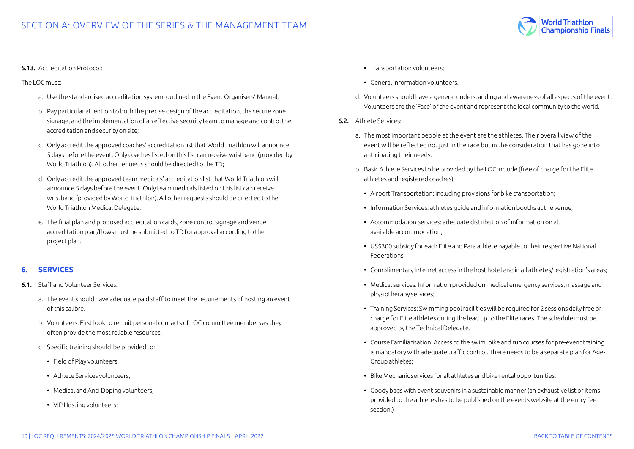

#### <span id="page-9-0"></span>5.13. Accreditation Protocol:

The LOC must:

- a. Use the standardised accreditation system, outlined in the Event Organisers' Manual;
- b. Pay particular attention to both the precise design of the accreditation, the secure zone signage, and the implementation of an effective security team to manage and control the accreditation and security on site;
- c. Only accredit the approved coaches' accreditation list that World Triathlon will announce 5 days before the event. Only coaches listed on this list can receive wristband (provided by World Triathlon). All other requests should be directed to the TD;
- d. Only accredit the approved team medicals' accreditation list that World Triathlon will announce 5 days before the event. Only team medicals listed on this list can receive wristband (provided by World Triathlon). All other requests should be directed to the World Triathlon Medical Delegate;
- e. The final plan and proposed accreditation cards, zone control signage and venue accreditation plan/flows must be submitted to TD for approval according to the project plan.

# **6. SERVICES**

- 6.1. Staff and Volunteer Services:
	- a. The event should have adequate paid staff to meet the requirements of hosting an event of this calibre.
	- b. Volunteers: First look to recruit personal contacts of LOC committee members as they often provide the most reliable resources.
	- c. Specific training should be provided to:
		- Field of Play volunteers;
		- Athlete Services volunteers;
		- Medical and Anti-Doping volunteers;
		- VIP Hosting volunteers;
- Transportation volunteers;
- General Information volunteers.
- d. Volunteers should have a general understanding and awareness of all aspects of the event. Volunteers are the 'Face' of the event and represent the local community to the world.
- 6.2. Athlete Services:
	- a. The most important people at the event are the athletes. Their overall view of the event will be reflected not just in the race but in the consideration that has gone into anticipating their needs.
	- b. Basic Athlete Services to be provided by the LOC include (free of charge for the Elite athletes and registered coaches):
		- Airport Transportation: including provisions for bike transportation;
		- Information Services: athletes guide and information booths at the venue;
		- Accommodation Services: adequate distribution of information on all available accommodation;
		- US\$300 subsidy for each Elite and Para athlete payable to their respective National Federations;
		- Complimentary Internet access in the host hotel and in all athletes/registration's areas;
		- Medical services: Information provided on medical emergency services, massage and physiotherapy services;
		- Training Services: Swimming pool facilities will be required for 2 sessions daily free of charge for Elite athletes during the lead up to the Elite races. The schedule must be approved by the Technical Delegate.
		- Course Familiarisation: Access to the swim, bike and run courses for pre-event training is mandatory with adequate traffic control. There needs to be a separate plan for Age-Group athletes;
		- Bike Mechanic services for all athletes and bike rental opportunities;
		- Goody bags with event souvenirs in a sustainable manner (an exhaustive list of items provided to the athletes has to be published on the events website at the entry fee section.)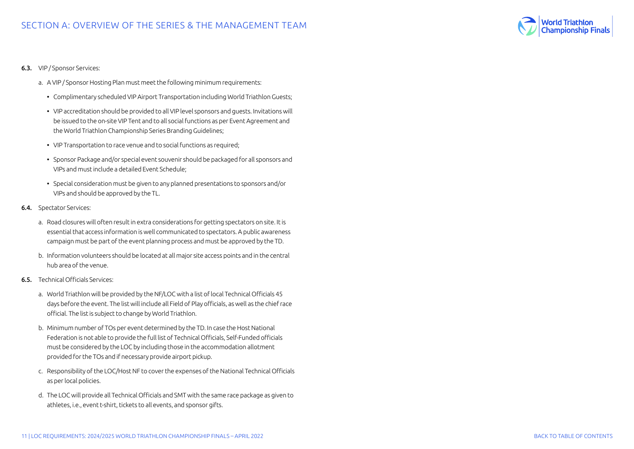

- 6.3. VIP / Sponsor Services:
	- a. A VIP / Sponsor Hosting Plan must meet the following minimum requirements:
		- Complimentary scheduled VIP Airport Transportation including World Triathlon Guests;
		- VIP accreditation should be provided to all VIP level sponsors and guests. Invitations will be issued to the on-site VIP Tent and to all social functions as per Event Agreement and the World Triathlon Championship Series Branding Guidelines;
		- VIP Transportation to race venue and to social functions as required;
		- Sponsor Package and/or special event souvenir should be packaged for all sponsors and VIPs and must include a detailed Event Schedule;
		- Special consideration must be given to any planned presentations to sponsors and/or VIPs and should be approved by the TL.
- 6.4. Spectator Services:
	- a. Road closures will often result in extra considerations for getting spectators on site. It is essential that access information is well communicated to spectators. A public awareness campaign must be part of the event planning process and must be approved by the TD.
	- b. Information volunteers should be located at all major site access points and in the central hub area of the venue.
- 6.5. Technical Officials Services:
	- a. World Triathlon will be provided by the NF/LOC with a list of local Technical Officials 45 days before the event. The list will include all Field of Play officials, as well as the chief race official. The list is subject to change by World Triathlon.
	- b. Minimum number of TOs per event determined by the TD. In case the Host National Federation is not able to provide the full list of Technical Officials, Self-Funded officials must be considered by the LOC by including those in the accommodation allotment provided for the TOs and if necessary provide airport pickup.
	- c. Responsibility of the LOC/Host NF to cover the expenses of the National Technical Officials as per local policies.
	- d. The LOC will provide all Technical Officials and SMT with the same race package as given to athletes, i.e., event t-shirt, tickets to all events, and sponsor gifts.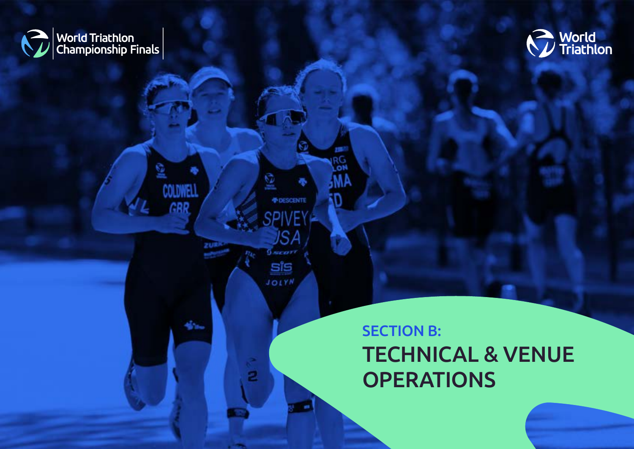<span id="page-11-0"></span>

國

**COLDWELL** 

GRR

zu#

dia.



# SECTION B: TECHNICAL & VENUE **OPERATIONS**

12 | LOC REQUIREMENTS: 2024/2025 WORLD TRIATHLON CHAMPIONSHIP FINALS – APRIL 2022 [BACK TO TABLE OF CONTENTS](#page-1-0) 

w RG<br>LON

ĮΘ

*FIDESCENTE* 

JSA

**SPIVE** 

 $0$  scart

sis JOLYN

2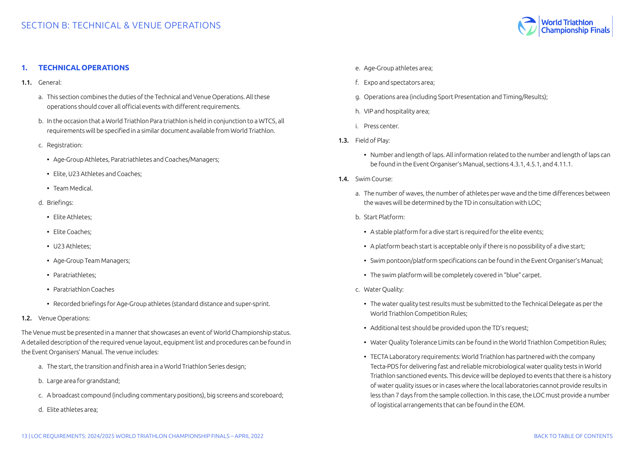

# <span id="page-12-0"></span>**1. TECHNICAL OPERATIONS**

- 1.1. General:
	- a. This section combines the duties of the Technical and Venue Operations. All these operations should cover all official events with different requirements.
	- b. In the occasion that a World Triathlon Para triathlon is held in conjunction to a WTCS, all requirements will be specified in a similar document available from World Triathlon.
	- c. Registration:
		- Age-Group Athletes, Paratriathletes and Coaches/Managers;
		- Elite, U23 Athletes and Coaches;
		- Team Medical.
	- d. Briefings:
		- Elite Athletes;
		- Elite Coaches;
		- U23 Athletes;
		- Age-Group Team Managers;
		- Paratriathletes;
		- Paratriathlon Coaches
		- Recorded briefings for Age-Group athletes (standard distance and super-sprint.
- 1.2. Venue Operations:

The Venue must be presented in a manner that showcases an event of World Championship status. A detailed description of the required venue layout, equipment list and procedures can be found in the Event Organisers' Manual. The venue includes:

- a. The start, the transition and finish area in a World Triathlon Series design;
- b. Large area for grandstand;
- c. A broadcast compound (including commentary positions), big screens and scoreboard;
- d. Elite athletes area;
- e. Age-Group athletes area;
- f. Expo and spectators area;
- g. Operations area (including Sport Presentation and Timing/Results);
- h. VIP and hospitality area;
- i. Press center.
- 1.3. Field of Play:
	- Number and length of laps. All information related to the number and length of laps can be found in the Event Organiser's Manual, sections 4.3.1, 4.5.1, and 4.11.1.
- 14 Swim Course:
	- a. The number of waves, the number of athletes per wave and the time differences between the waves will be determined by the TD in consultation with LOC;
	- b. Start Platform:
		- A stable platform for a dive start is required for the elite events:
		- A platform beach start is acceptable only if there is no possibility of a dive start;
	- Swim pontoon/platform specifications can be found in the Event Organiser's Manual;
	- The swim platform will be completely covered in "blue" carpet.
	- c. Water Quality:
		- The water quality test results must be submitted to the Technical Delegate as per the World Triathlon Competition Rules;
		- Additional test should be provided upon the TD's request;
		- Water Quality Tolerance Limits can be found in the World Triathlon Competition Rules;
		- TECTA Laboratory requirements: World Triathlon has partnered with the company Tecta-PDS for delivering fast and reliable microbiological water quality tests in World Triathlon sanctioned events. This device will be deployed to events that there is a history of water quality issues or in cases where the local laboratories cannot provide results in less than 7 days from the sample collection. In this case, the LOC must provide a number of logistical arrangements that can be found in the EOM.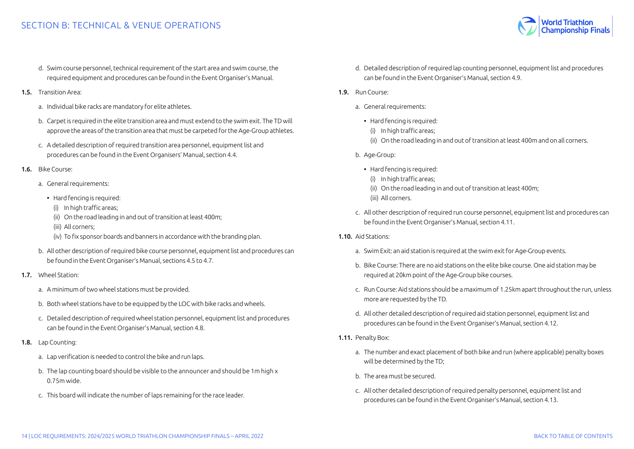- d. Swim course personnel, technical requirement of the start area and swim course, the required equipment and procedures can be found in the Event Organiser's Manual.
- 1.5. Transition Area:
	- a. Individual bike racks are mandatory for elite athletes.
	- b. Carpet is required in the elite transition area and must extend to the swim exit. The TD will approve the areas of the transition area that must be carpeted for the Age-Group athletes.
	- c. A detailed description of required transition area personnel, equipment list and procedures can be found in the Event Organisers' Manual, section 4.4.
- 1.6. Bike Course:
	- a. General requirements:
		- Hard fencing is required:
		- (i) In high traffic areas;
		- (ii) On the road leading in and out of transition at least 400m;
		- (iii) All corners;
		- (iv) To fix sponsor boards and banners in accordance with the branding plan.
	- b. All other description of required bike course personnel, equipment list and procedures can be found in the Event Organiser's Manual, sections 4.5 to 4.7.
- 1.7. Wheel Station:
	- a. A minimum of two wheel stations must be provided.
	- b. Both wheel stations have to be equipped by the LOC with bike racks and wheels.
	- c. Detailed description of required wheel station personnel, equipment list and procedures can be found in the Event Organiser's Manual, section 4.8.
- 1.8. Lap Counting:
	- a. Lap verification is needed to control the bike and run laps.
	- b. The lap counting board should be visible to the announcer and should be 1m high x 0.75m wide.
	- c. This board will indicate the number of laps remaining for the race leader.
- d. Detailed description of required lap counting personnel, equipment list and procedures can be found in the Event Organiser's Manual, section 4.9.
- 1.9. Run Course:
	- a. General requirements:
		- Hard fencing is required:
			- (i) In high traffic areas;
		- (ii) On the road leading in and out of transition at least 400m and on all corners.
	- b. Age-Group:
		- Hard fencing is required:
			- (i) In high traffic areas;
			- (ii) On the road leading in and out of transition at least 400m;
		- (iii) All corners.
	- c. All other description of required run course personnel, equipment list and procedures can be found in the Event Organiser's Manual, section 4.11.
- 1.10. Aid Stations:
	- a. Swim Exit: an aid station is required at the swim exit for Age-Group events.
	- b. Bike Course: There are no aid stations on the elite bike course. One aid station may be required at 20km point of the Age-Group bike courses.
	- c. Run Course: Aid stations should be a maximum of 1.25km apart throughout the run, unless more are requested by the TD.
	- d. All other detailed description of required aid station personnel, equipment list and procedures can be found in the Event Organiser's Manual, section 4.12.
- 1.11. Penalty Box:
	- a. The number and exact placement of both bike and run (where applicable) penalty boxes will be determined by the TD;
	- b. The area must be secured.
	- c. All other detailed description of required penalty personnel, equipment list and procedures can be found in the Event Organiser's Manual, section 4.13.

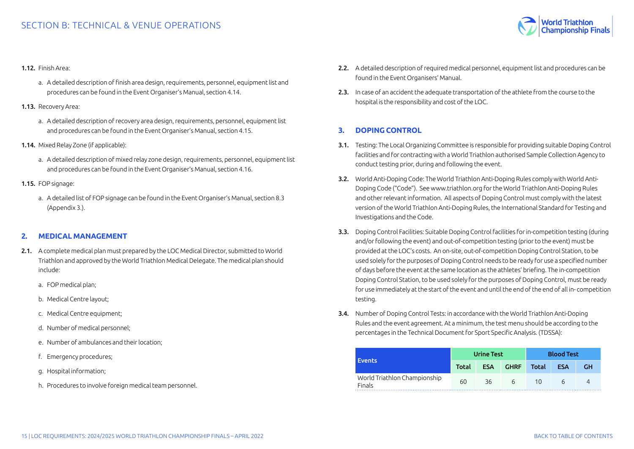

#### <span id="page-14-0"></span>1.12. Finish Area:

- a. A detailed description of finish area design, requirements, personnel, equipment list and procedures can be found in the Event Organiser's Manual, section 4.14.
- 1.13. Recovery Area:
	- a. A detailed description of recovery area design, requirements, personnel, equipment list and procedures can be found in the Event Organiser's Manual, section 4.15.
- 1.14. Mixed Relay Zone (if applicable):
	- a. A detailed description of mixed relay zone design, requirements, personnel, equipment list and procedures can be found in the Event Organiser's Manual, section 4.16.
- 1.15. FOP signage:
	- a. A detailed list of FOP signage can be found in the Event Organiser's Manual, section 8.3 (Appendix 3.).

#### **2. MEDICAL MANAGEMENT**

- 2.1. A complete medical plan must prepared by the LOC Medical Director, submitted to World Triathlon and approved by the World Triathlon Medical Delegate. The medical plan should include:
	- a. FOP medical plan;
	- b. Medical Centre layout;
	- c. Medical Centre equipment;
	- d. Number of medical personnel;
	- e. Number of ambulances and their location;
	- f. Emergency procedures;
	- g. Hospital information;
	- h. Procedures to involve foreign medical team personnel.
- 2.2. A detailed description of required medical personnel, equipment list and procedures can be found in the Event Organisers' Manual.
- 2.3. In case of an accident the adequate transportation of the athlete from the course to the hospital is the responsibility and cost of the LOC.

# **3. DOPING CONTROL**

- 3.1. Testing: The Local Organizing Committee is responsible for providing suitable Doping Control facilities and for contracting with a World Triathlon authorised Sample Collection Agency to conduct testing prior, during and following the event.
- 3.2. World Anti-Doping Code: The World Triathlon Anti-Doping Rules comply with World Anti-Doping Code ("Code"). See www.triathlon.org for the World Triathlon Anti-Doping Rules and other relevant information. All aspects of Doping Control must comply with the latest version of the World Triathlon Anti-Doping Rules, the International Standard for Testing and Investigations and the Code.
- 3.3. Doping Control Facilities: Suitable Doping Control facilities for in-competition testing (during and/or following the event) and out-of-competition testing (prior to the event) must be provided at the LOC's costs. An on-site, out-of-competition Doping Control Station, to be used solely for the purposes of Doping Control needs to be ready for use a specified number of days before the event at the same location as the athletes' briefing. The in-competition Doping Control Station, to be used solely for the purposes of Doping Control, must be ready for use immediately at the start of the event and until the end of the end of all in- competition testing.
- 3.4. Number of Doping Control Tests: in accordance with the World Triathlon Anti-Doping Rules and the event agreement. At a minimum, the test menu should be according to the percentages in the Technical Document for Sport Specific Analysis. (TDSSA):

|                                        | <b>Urine Test</b> |            |             | <b>Blood Test</b> |            |    |
|----------------------------------------|-------------------|------------|-------------|-------------------|------------|----|
| <b>Events</b>                          | Total             | <b>ESA</b> | <b>GHRF</b> | Total             | <b>ESA</b> | GН |
| World Triathlon Championship<br>Finals | 60                | 36         | h           | 10                |            |    |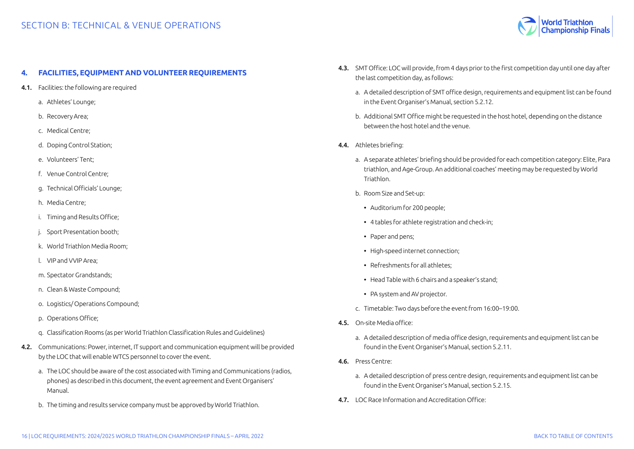

#### <span id="page-15-0"></span>**4. FACILITIES, EQUIPMENT AND VOLUNTEER REQUIREMENTS**

- 4.1. Facilities: the following are required
	- a. Athletes' Lounge;
	- b. Recovery Area;
	- c. Medical Centre;
	- d. Doping Control Station;
	- e. Volunteers' Tent;
	- f. Venue Control Centre;
	- g. Technical Officials' Lounge;
	- h. Media Centre;
	- i. Timing and Results Office;
	- j. Sport Presentation booth;
	- k. World Triathlon Media Room;
	- l. VIP and VVIP Area;
	- m. Spectator Grandstands;
	- n. Clean & Waste Compound;
	- o. Logistics/ Operations Compound;
	- p. Operations Office;
	- q. Classification Rooms (as per World Triathlon Classification Rules and Guidelines)
- 4.2. Communications: Power, internet, IT support and communication equipment will be provided by the LOC that will enable WTCS personnel to cover the event.
	- a. The LOC should be aware of the cost associated with Timing and Communications (radios, phones) as described in this document, the event agreement and Event Organisers' Manual.
	- b. The timing and results service company must be approved by World Triathlon.
- 4.3. SMT Office: LOC will provide, from 4 days prior to the first competition day until one day after the last competition day, as follows:
	- a. A detailed description of SMT office design, requirements and equipment list can be found in the Event Organiser's Manual, section 5.2.12.
	- b. Additional SMT Office might be requested in the host hotel, depending on the distance between the host hotel and the venue.
- 4.4. Athletes briefing:
	- a. A separate athletes' briefing should be provided for each competition category: Elite, Para triathlon, and Age-Group. An additional coaches' meeting may be requested by World Triathlon.
	- b. Room Size and Set-up:
		- Auditorium for 200 people;
		- 4 tables for athlete registration and check-in;
		- Paper and pens;
		- High-speed internet connection;
		- Refreshments for all athletes;
	- Head Table with 6 chairs and a speaker's stand;
	- PA system and AV projector.
	- c. Timetable: Two days before the event from 16:00–19:00.
- 4.5. On-site Media office:
	- a. A detailed description of media office design, requirements and equipment list can be found in the Event Organiser's Manual, section 5.2.11.
- 4.6. Press Centre:
	- a. A detailed description of press centre design, requirements and equipment list can be found in the Event Organiser's Manual, section 5.2.15.
- 4.7. LOC Race Information and Accreditation Office: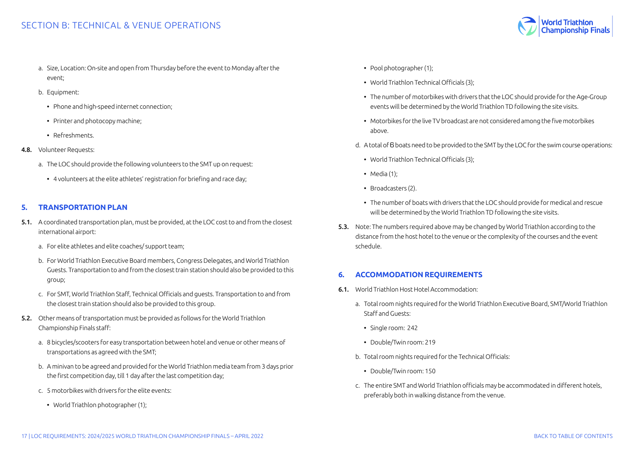- <span id="page-16-0"></span>a. Size, Location: On-site and open from Thursday before the event to Monday after the event;
- b. Equipment:
	- Phone and high-speed internet connection;
	- Printer and photocopy machine;
	- Refreshments.
- 4.8. Volunteer Requests:
	- a. The LOC should provide the following volunteers to the SMT up on request:
		- 4 volunteers at the elite athletes' registration for briefing and race day;

#### **5. TRANSPORTATION PLAN**

- 5.1. A coordinated transportation plan, must be provided, at the LOC cost to and from the closest international airport:
	- a. For elite athletes and elite coaches/ support team;
	- b. For World Triathlon Executive Board members, Congress Delegates, and World Triathlon Guests. Transportation to and from the closest train station should also be provided to this group;
	- c. For SMT, World Triathlon Staff, Technical Officials and guests. Transportation to and from the closest train station should also be provided to this group.
- 5.2. Other means of transportation must be provided as follows for the World Triathlon Championship Finals staff:
	- a. 8 bicycles/scooters for easy transportation between hotel and venue or other means of transportations as agreed with the SMT;
	- b. A minivan to be agreed and provided for the World Triathlon media team from 3 days prior the first competition day, till 1 day after the last competition day;
	- c. 5 motorbikes with drivers for the elite events:
		- World Triathlon photographer (1);
- Pool photographer (1);
- World Triathlon Technical Officials (3);
- The number of motorbikes with drivers that the LOC should provide for the Age-Group events will be determined by the World Triathlon TD following the site visits.
- Motorbikes for the live TV broadcast are not considered among the five motorbikes above.
- d. A total of 6 boats need to be provided to the SMT by the LOC for the swim course operations:
	- World Triathlon Technical Officials (3);
	- Media (1):
	- Broadcasters (2).
	- The number of boats with drivers that the LOC should provide for medical and rescue will be determined by the World Triathlon TD following the site visits.
- 5.3. Note: The numbers required above may be changed by World Triathlon according to the distance from the host hotel to the venue or the complexity of the courses and the event schedule.

# **6. ACCOMMODATION REQUIREMENTS**

- 6.1. World Triathlon Host Hotel Accommodation:
	- a. Total room nights required for the World Triathlon Executive Board, SMT/World Triathlon Staff and Guests:
		- Single room: 242
		- Double/Twin room: 219
	- b. Total room nights required for the Technical Officials:
		- Double/Twin room: 150
	- c. The entire SMT and World Triathlon officials may be accommodated in different hotels, preferably both in walking distance from the venue.

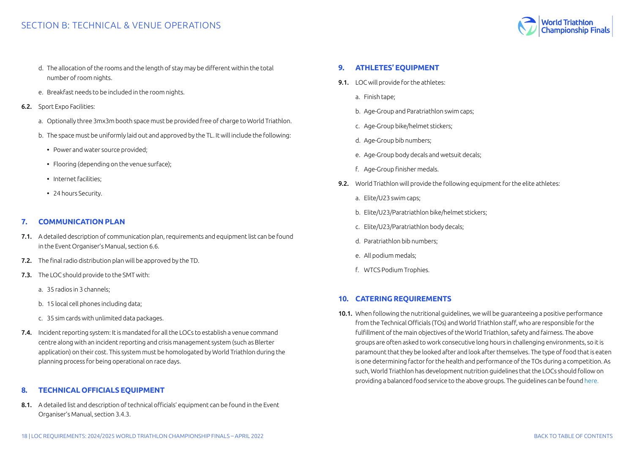- <span id="page-17-0"></span>d. The allocation of the rooms and the length of stay may be different within the total number of room nights.
- e. Breakfast needs to be included in the room nights.
- 6.2. Sport Expo Facilities:
	- a. Optionally three 3mx3m booth space must be provided free of charge to World Triathlon.
	- b. The space must be uniformly laid out and approved by the TL. It will include the following:
		- Power and water source provided;
		- Flooring (depending on the venue surface);
		- Internet facilities;
		- 24 hours Security.

# **7. COMMUNICATION PLAN**

- 7.1. A detailed description of communication plan, requirements and equipment list can be found in the Event Organiser's Manual, section 6.6.
- 7.2. The final radio distribution plan will be approved by the TD.
- 7.3. The LOC should provide to the SMT with:
	- a. 35 radios in 3 channels;
	- b. 15 local cell phones including data;
	- c. 35 sim cards with unlimited data packages.
- 7.4. Incident reporting system: It is mandated for all the LOCs to establish a venue command centre along with an incident reporting and crisis management system (such as Blerter application) on their cost. This system must be homologated by World Triathlon during the planning process for being operational on race days.

# **8. TECHNICAL OFFICIALS EQUIPMENT**

8.1. A detailed list and description of technical officials' equipment can be found in the Event Organiser's Manual, section 3.4.3.

# **9. ATHLETES' EQUIPMENT**

- 9.1. LOC will provide for the athletes:
	- a. Finish tape;
	- b. Age-Group and Paratriathlon swim caps;
	- c. Age-Group bike/helmet stickers;
	- d. Age-Group bib numbers;
	- e. Age-Group body decals and wetsuit decals;
	- f. Age-Group finisher medals.
- 9.2. World Triathlon will provide the following equipment for the elite athletes:
	- a. Elite/U23 swim caps;
	- b. Elite/U23/Paratriathlon bike/helmet stickers;
	- c. Elite/U23/Paratriathlon body decals;
	- d. Paratriathlon bib numbers;
	- e. All podium medals;
	- f. WTCS Podium Trophies.

# **10. CATERING REQUIREMENTS**

10.1. When following the nutritional guidelines, we will be guaranteeing a positive performance from the Technical Officials (TOs) and World Triathlon staff, who are responsible for the fulfillment of the main objectives of the World Triathlon, safety and fairness. The above groups are often asked to work consecutive long hours in challenging environments, so it is paramount that they be looked after and look after themselves. The type of food that is eaten is one determining factor for the health and performance of the TOs during a competition. As such, World Triathlon has development nutrition guidelines that the LOCs should follow on providing a balanced food service to the above groups. The guidelines can be found [here](https://www.triathlon.org/uploads/docs/TO_Nutrition_v3.pdf
).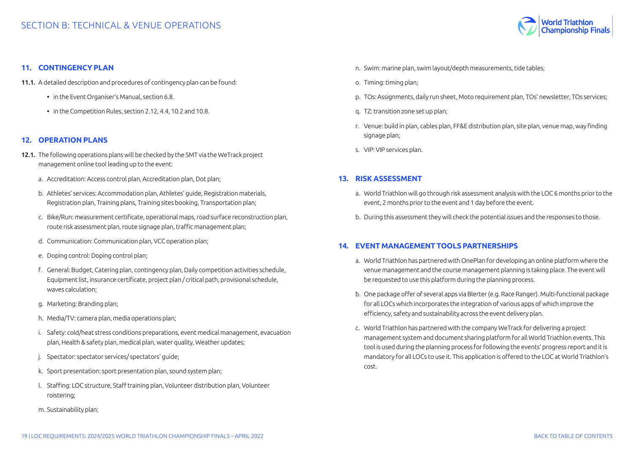

#### <span id="page-18-0"></span>**11. CONTINGENCY PLAN**

- 11.1. A detailed description and procedures of contingency plan can be found:
	- in the Event Organiser's Manual, section 6.8.
	- in the Competition Rules, section 2.12, 4.4, 10.2 and 10.8.

#### **12. OPERATION PLANS**

- 12.1. The following operations plans will be checked by the SMT via the WeTrack project management online tool leading up to the event:
	- a. Accreditation: Access control plan, Accreditation plan, Dot plan;
	- b. Athletes' services: Accommodation plan, Athletes' guide, Registration materials, Registration plan, Training plans, Training sites booking, Transportation plan;
	- c. Bike/Run: measurement certificate, operational maps, road surface reconstruction plan, route risk assessment plan, route signage plan, traffic management plan;
	- d. Communication: Communication plan, VCC operation plan;
	- e. Doping control: Doping control plan;
	- f. General: Budget, Catering plan, contingency plan, Daily competition activities schedule, Equipment list, insurance certificate, project plan / critical path, provisional schedule, waves calculation;
	- g. Marketing: Branding plan;
	- h. Media/TV: camera plan, media operations plan;
	- i. Safety: cold/heat stress conditions preparations, event medical management, evacuation plan, Health & safety plan, medical plan, water quality, Weather updates;
	- j. Spectator: spectator services/ spectators' guide;
	- k. Sport presentation: sport presentation plan, sound system plan;
	- l. Staffing: LOC structure, Staff training plan, Volunteer distribution plan, Volunteer roistering;
	- m. Sustainability plan;
- n. Swim: marine plan, swim layout/depth measurements, tide tables;
- o. Timing: timing plan;
- p. TOs: Assignments, daily run sheet, Moto requirement plan, TOs' newsletter, TOs services;
- q. TZ: transition zone set up plan;
- r. Venue: build in plan, cables plan, FF&E distribution plan, site plan, venue map, way finding signage plan;
- s. VIP: VIP services plan.

#### **13. RISK ASSESSMENT**

- a. World Triathlon will go through risk assessment analysis with the LOC 6 months prior to the event, 2 months prior to the event and 1 day before the event.
- b. During this assessment they will check the potential issues and the responses to those.

#### **14. EVENT MANAGEMENT TOOLS PARTNERSHIPS**

- a. World Triathlon has partnered with OnePlan for developing an online platform where the venue management and the course management planning is taking place. The event will be requested to use this platform during the planning process.
- b. One package offer of several apps via Blerter (e.g. Race Ranger). Multi-functional package for all LOCs which incorporates the integration of various apps of which improve the efficiency, safety and sustainability across the event delivery plan.
- c. World Triathlon has partnered with the company WeTrack for delivering a project management system and document sharing platform for all World Triathlon events. This tool is used during the planning process for following the events' progress report and it is mandatory for all LOCs to use it. This application is offered to the LOC at World Triathlon's cost.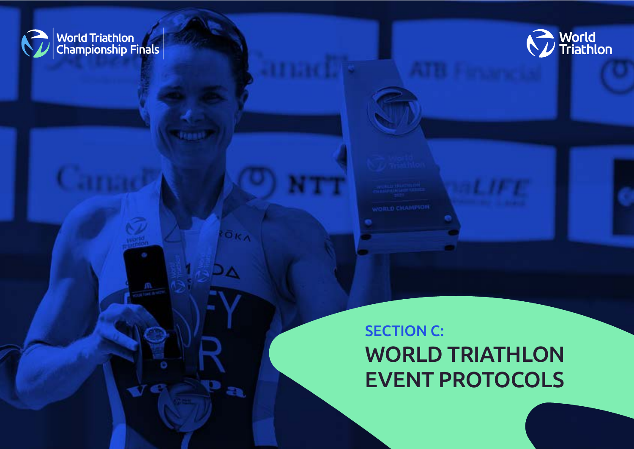<span id="page-19-0"></span>





20 | LOC REQUIREMENTS: 2024/2025 WORLD TRIATHLON CHAMPIONSHIP FINALS – APRIL 2022 [BACK TO TABLE OF CONTENTS](#page-1-0) 

FÖRA

P,

∆⊂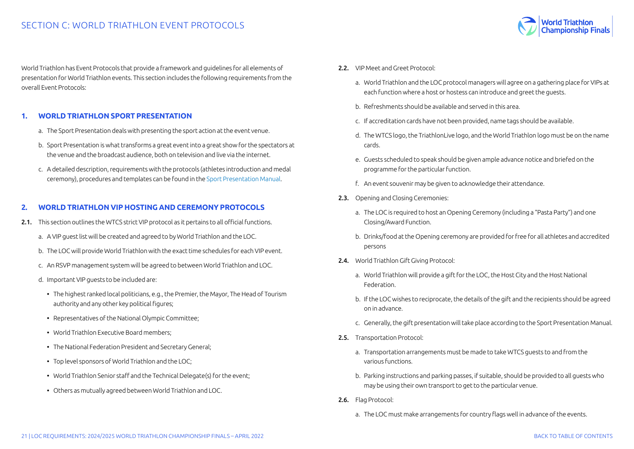

<span id="page-20-0"></span>World Triathlon has Event Protocols that provide a framework and guidelines for all elements of presentation for World Triathlon events. This section includes the following requirements from the overall Event Protocols:

#### **1. WORLD TRIATHLON SPORT PRESENTATION**

- a. The Sport Presentation deals with presenting the sport action at the event venue.
- b. Sport Presentation is what transforms a great event into a great show for the spectators at the venue and the broadcast audience, both on television and live via the internet.
- c. A detailed description, requirements with the protocols (athletes introduction and medal ceremony), procedures and templates can be found in the [Sport Presentation Manual](https://triathlon.org/about/downloads/category/event_organisers_manual).

# **2. WORLD TRIATHLON VIP HOSTING AND CEREMONY PROTOCOLS**

- 2.1. This section outlines the WTCS strict VIP protocol as it pertains to all official functions.
	- a. A VIP guest list will be created and agreed to by World Triathlon and the LOC.
	- b. The LOC will provide World Triathlon with the exact time schedules for each VIP event.
	- c. An RSVP management system will be agreed to between World Triathlon and LOC.
	- d. Important VIP guests to be included are:
		- The highest ranked local politicians, e.g., the Premier, the Mayor, The Head of Tourism authority and any other key political figures;
		- Representatives of the National Olympic Committee;
		- World Triathlon Executive Board members;
		- The National Federation President and Secretary General;
		- Top level sponsors of World Triathlon and the LOC;
		- World Triathlon Senior staff and the Technical Delegate(s) for the event;
		- Others as mutually agreed between World Triathlon and LOC.
- 2.2. VIP Meet and Greet Protocol:
	- a. World Triathlon and the LOC protocol managers will agree on a gathering place for VIPs at each function where a host or hostess can introduce and greet the guests.
	- b. Refreshments should be available and served in this area.
	- c. If accreditation cards have not been provided, name tags should be available.
	- d. The WTCS logo, the TriathlonLive logo, and the World Triathlon logo must be on the name cards.
	- e. Guests scheduled to speak should be given ample advance notice and briefed on the programme for the particular function.
	- f. An event souvenir may be given to acknowledge their attendance.
- 2.3. Opening and Closing Ceremonies:
	- a. The LOC is required to host an Opening Ceremony (including a "Pasta Party") and one Closing/Award Function.
	- b. Drinks/food at the Opening ceremony are provided for free for all athletes and accredited persons
- 2.4. World Triathlon Gift Giving Protocol:
	- a. World Triathlon will provide a gift for the LOC, the Host City and the Host National Federation.
	- b. If the LOC wishes to reciprocate, the details of the gift and the recipients should be agreed on in advance.
	- c. Generally, the gift presentation will take place according to the Sport Presentation Manual.
- 2.5. Transportation Protocol:
	- a. Transportation arrangements must be made to take WTCS guests to and from the various functions.
	- b. Parking instructions and parking passes, if suitable, should be provided to all guests who may be using their own transport to get to the particular venue.
- 2.6. Flag Protocol:
	- a. The LOC must make arrangements for country flags well in advance of the events.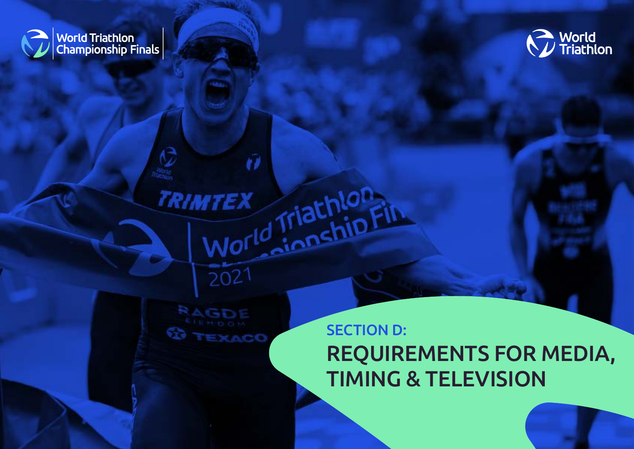<span id="page-21-0"></span>



**ACC** 

 $2021$ 

**TRIMTEX** 

û

MTEX Triathlor<sub>ph</sub>

SECTION D: REQUIREMENTS FOR MEDIA, TIMING & TELEVISION

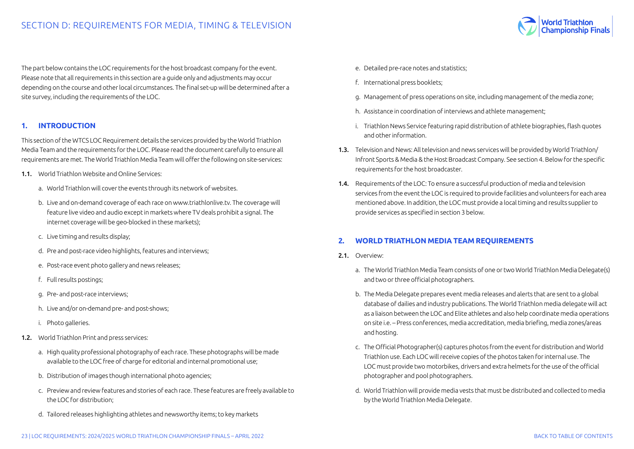<span id="page-22-0"></span>The part below contains the LOC requirements for the host broadcast company for the event. Please note that all requirements in this section are a guide only and adjustments may occur depending on the course and other local circumstances. The final set-up will be determined after a site survey, including the requirements of the LOC.

# **1. INTRODUCTION**

This section of the WTCS LOC Requirement details the services provided by the World Triathlon Media Team and the requirements for the LOC. Please read the document carefully to ensure all requirements are met. The World Triathlon Media Team will offer the following on site-services:

- 1.1. World Triathlon Website and Online Services:
	- a. World Triathlon will cover the events through its network of websites.
	- b. Live and on-demand coverage of each race on www.triathlonlive.tv. The coverage will feature live video and audio except in markets where TV deals prohibit a signal. The internet coverage will be geo-blocked in these markets);
	- c. Live timing and results display;
	- d. Pre and post-race video highlights, features and interviews;
	- e. Post-race event photo gallery and news releases;
	- f. Full results postings;
	- g. Pre- and post-race interviews;
	- h. Live and/or on-demand pre- and post-shows;
	- i. Photo galleries.
- 1.2. World Triathlon Print and press services:
	- a. High quality professional photography of each race. These photographs will be made available to the LOC free of charge for editorial and internal promotional use;
	- b. Distribution of images though international photo agencies;
	- c. Preview and review features and stories of each race. These features are freely available to the LOC for distribution;
	- d. Tailored releases highlighting athletes and newsworthy items; to key markets
- e. Detailed pre-race notes and statistics;
- f. International press booklets;
- g. Management of press operations on site, including management of the media zone;
- h. Assistance in coordination of interviews and athlete management;
- i. Triathlon News Service featuring rapid distribution of athlete biographies, flash quotes and other information.
- 1.3. Television and News: All television and news services will be provided by World Triathlon/ Infront Sports & Media & the Host Broadcast Company. See section 4. Below for the specific requirements for the host broadcaster.
- 1.4. Requirements of the LOC: To ensure a successful production of media and television services from the event the LOC is required to provide facilities and volunteers for each area mentioned above. In addition, the LOC must provide a local timing and results supplier to provide services as specified in section 3 below.

# **2. WORLD TRIATHLON MEDIA TEAM REQUIREMENTS**

- 2.1. Overview:
	- a. The World Triathlon Media Team consists of one or two World Triathlon Media Delegate(s) and two or three official photographers.
	- b. The Media Delegate prepares event media releases and alerts that are sent to a global database of dailies and industry publications. The World Triathlon media delegate will act as a liaison between the LOC and Elite athletes and also help coordinate media operations on site i.e. – Press conferences, media accreditation, media briefing, media zones/areas and hosting.
	- c. The Official Photographer(s) captures photos from the event for distribution and World Triathlon use. Each LOC will receive copies of the photos taken for internal use. The LOC must provide two motorbikes, drivers and extra helmets for the use of the official photographer and pool photographers.
	- d. World Triathlon will provide media vests that must be distributed and collected to media by the World Triathlon Media Delegate.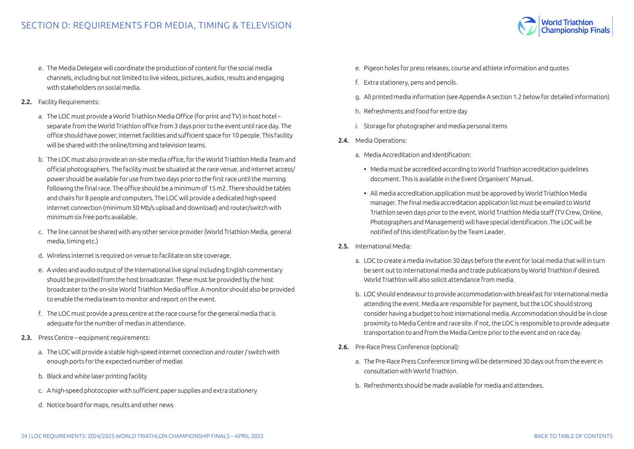

- 2.2. Facility Requirements:
	- a. The LOC must provide a World Triathlon Media Office (for print and TV) in host hotel separate from the World Triathlon office from 3 days prior to the event until race day. The office should have power, internet facilities and sufficient space for 10 people. This facility will be shared with the online/timing and television teams.
	- b. The LOC must also provide an on-site media office, for the World Triathlon Media Team and official photographers. The facility must be situated at the race venue, and internet access/ power should be available for use from two days prior to the first race until the morning following the final race. The office should be a minimum of 15 m2. There should be tables and chairs for 8 people and computers. The LOC will provide a dedicated high-speed internet connection (minimum 50 Mb/s upload and download) and router/switch with minimum six free ports available.
	- c. The line cannot be shared with any other service provider (World Triathlon Media, general media, timing etc.)
	- d. Wireless internet is required on venue to facilitate on site coverage.
	- e. A video and audio output of the International live signal including English commentary should be provided from the host broadcaster. These must be provided by the host broadcaster to the on-site World Triathlon Media office. A monitor should also be provided to enable the media team to monitor and report on the event.
	- f. The LOC must provide a press centre at the race course for the general media that is adequate for the number of medias in attendance.
- 2.3. Press Centre equipment requirements:
	- a. The LOC will provide a stable high-speed internet connection and router / switch with enough ports for the expected number of medias
	- b. Black and white laser printing facility
	- c. A high-speed photocopier with sufficient paper supplies and extra stationery
	- d. Notice board for maps, results and other news
- e. Pigeon holes for press releases, course and athlete information and quotes
- f. Extra stationery, pens and pencils.
- g. All printed media information (see Appendix A section 1.2 below for detailed information)
- h. Refreshments and food for entire day
- i. Storage for photographer and media personal items
- 2.4. Media Operations:
	- a. Media Accreditation and Identification:
		- Media must be accredited according to World Triathlon accreditation guidelines document. This is available in the Event Organisers' Manual.
		- All media accreditation application must be approved by World Triathlon Media manager. The final media accreditation application list must be emailed to World Triathlon seven days prior to the event. World Triathlon Media staff (TV Crew, Online, Photographers and Management) will have special identification. The LOC will be notified of this identification by the Team Leader.
- 2.5. International Media:
	- a. LOC to create a media invitation 30 days before the event for local media that will in turn be sent out to international media and trade publications by World Triathlon if desired. World Triathlon will also solicit attendance from media.
	- b. LOC should endeavour to provide accommodation with breakfast for international media attending the event. Media are responsible for payment, but the LOC should strong consider having a budget to host international media. Accommodation should be in close proximity to Media Centre and race site. If not, the LOC is responsible to provide adequate transportation to and from the Media Centre prior to the event and on race day.
- 2.6. Pre-Race Press Conference (optional):
	- a. The Pre-Race Press Conference timing will be determined 30 days out from the event in consultation with World Triathlon.
	- b. Refreshments should be made available for media and attendees.

World Triathlon<br>Championship Finals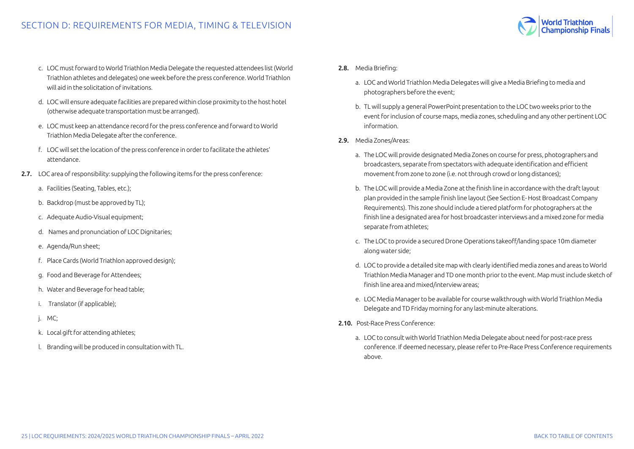- c. LOC must forward to World Triathlon Media Delegate the requested attendees list (World Triathlon athletes and delegates) one week before the press conference. World Triathlon will aid in the solicitation of invitations.
- d. LOC will ensure adequate facilities are prepared within close proximity to the host hotel (otherwise adequate transportation must be arranged).
- e. LOC must keep an attendance record for the press conference and forward to World Triathlon Media Delegate after the conference.
- f. LOC will set the location of the press conference in order to facilitate the athletes' attendance.
- 2.7. LOC area of responsibility: supplying the following items for the press conference:
	- a. Facilities (Seating, Tables, etc.);
	- b. Backdrop (must be approved by TL);
	- c. Adequate Audio-Visual equipment;
	- d. Names and pronunciation of LOC Dignitaries;
	- e. Agenda/Run sheet;
	- f. Place Cards (World Triathlon approved design);
	- g. Food and Beverage for Attendees;
	- h. Water and Beverage for head table;
	- i. Translator (if applicable);
	- j. MC;
	- k. Local gift for attending athletes;
	- l. Branding will be produced in consultation with TL.
- 2.8. Media Briefing:
	- a. LOC and World Triathlon Media Delegates will give a Media Briefing to media and photographers before the event;
	- b. TL will supply a general PowerPoint presentation to the LOC two weeks prior to the event for inclusion of course maps, media zones, scheduling and any other pertinent LOC information.
- 2.9. Media Zones/Areas:
	- a. The LOC will provide designated Media Zones on course for press, photographers and broadcasters, separate from spectators with adequate identification and efficient movement from zone to zone (i.e. not through crowd or long distances);
	- b. The LOC will provide a Media Zone at the finish line in accordance with the draft layout plan provided in the sample finish line layout (See Section E- Host Broadcast Company Requirements). This zone should include a tiered platform for photographers at the finish line a designated area for host broadcaster interviews and a mixed zone for media separate from athletes;
	- c. The LOC to provide a secured Drone Operations takeoff/landing space 10m diameter along water side;
	- d. LOC to provide a detailed site map with clearly identified media zones and areas to World Triathlon Media Manager and TD one month prior to the event. Map must include sketch of finish line area and mixed/interview areas;
	- e. LOC Media Manager to be available for course walkthrough with World Triathlon Media Delegate and TD Friday morning for any last-minute alterations.
- 2.10. Post-Race Press Conference:
	- a. LOC to consult with World Triathlon Media Delegate about need for post-race press conference. If deemed necessary, please refer to Pre-Race Press Conference requirements above.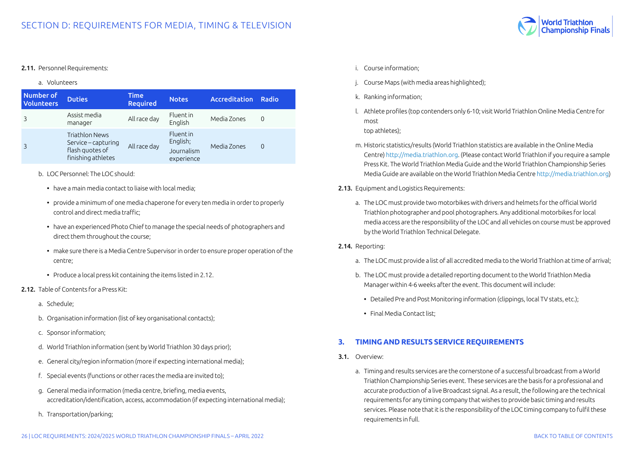<span id="page-25-0"></span>

a. Volunteers

| <b>Number of</b><br><b>Volunteers</b> | <b>Duties</b>                                                                         | <b>Time</b><br><b>Required</b> | <b>Notes</b>                                             | <b>Accreditation</b> | Radio    |
|---------------------------------------|---------------------------------------------------------------------------------------|--------------------------------|----------------------------------------------------------|----------------------|----------|
|                                       | Assist media<br>manager                                                               | All race day                   | Fluent in<br>English                                     | Media Zones          | 0        |
|                                       | <b>Triathlon News</b><br>Service – capturing<br>flash quotes of<br>finishing athletes | All race day                   | <b>Fluent</b> in<br>English;<br>Journalism<br>experience | Media Zones          | $\Omega$ |

- b. LOC Personnel: The LOC should:
	- have a main media contact to liaise with local media;
	- provide a minimum of one media chaperone for every ten media in order to properly control and direct media traffic;
	- have an experienced Photo Chief to manage the special needs of photographers and direct them throughout the course;
	- make sure there is a Media Centre Supervisor in order to ensure proper operation of the centre;
	- Produce a local press kit containing the items listed in 2.12.
- 2.12. Table of Contents for a Press Kit:
	- a. Schedule;
	- b. Organisation information (list of key organisational contacts);
	- c. Sponsor information;
	- d. World Triathlon information (sent by World Triathlon 30 days prior);
	- e. General city/region information (more if expecting international media);
	- f. Special events (functions or other races the media are invited to);
	- g. General media information (media centre, briefing, media events, accreditation/identification, access, accommodation (if expecting international media);
	- h. Transportation/parking;
- i. Course information;
- j. Course Maps (with media areas highlighted);
- k. Ranking information;
- l. Athlete profiles (top contenders only 6-10; visit World Triathlon Online Media Centre for most top athletes);
- m. Historic statistics/results (World Triathlon statistics are available in the Online Media Centre)<http://media.triathlon.org>. (Please contact World Triathlon if you require a sample Press Kit. The World Triathlon Media Guide and the World Triathlon Championship Series Media Guide are available on the World Triathlon Media Centre<http://media.triathlon.org>)
- 2.13. Equipment and Logistics Requirements:
	- a. The LOC must provide two motorbikes with drivers and helmets for the official World Triathlon photographer and pool photographers. Any additional motorbikes for local media access are the responsibility of the LOC and all vehicles on course must be approved by the World Triathlon Technical Delegate.

#### 2.14. Reporting:

- a. The LOC must provide a list of all accredited media to the World Triathlon at time of arrival;
- b. The LOC must provide a detailed reporting document to the World Triathlon Media Manager within 4-6 weeks after the event. This document will include:
	- Detailed Pre and Post Monitoring information (clippings, local TV stats, etc.);
	- Final Media Contact list;

# **3. TIMING AND RESULTS SERVICE REQUIREMENTS**

- 3.1. Overview:
	- a. Timing and results services are the cornerstone of a successful broadcast from a World Triathlon Championship Series event. These services are the basis for a professional and accurate production of a live Broadcast signal. As a result, the following are the technical requirements for any timing company that wishes to provide basic timing and results services. Please note that it is the responsibility of the LOC timing company to fulfil these requirements in full.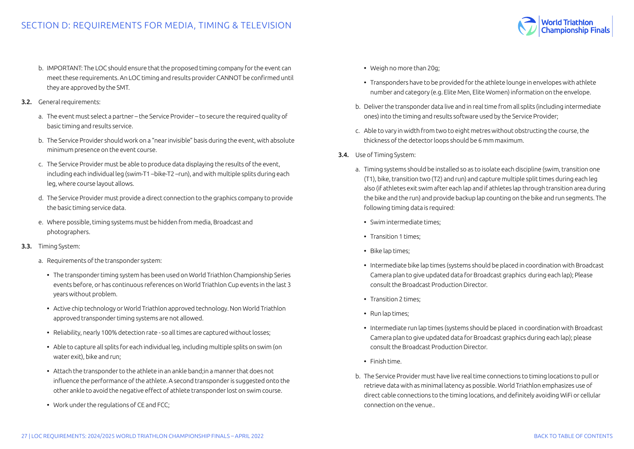- b. IMPORTANT: The LOC should ensure that the proposed timing company for the event can meet these requirements. An LOC timing and results provider CANNOT be confirmed until they are approved by the SMT.
- 3.2. General requirements:
	- a. The event must select a partner the Service Provider to secure the required quality of basic timing and results service.
	- b. The Service Provider should work on a "near invisible" basis during the event, with absolute minimum presence on the event course.
	- c. The Service Provider must be able to produce data displaying the results of the event, including each individual leg (swim-T1 –bike-T2 –run), and with multiple splits during each leg, where course layout allows.
	- d. The Service Provider must provide a direct connection to the graphics company to provide the basic timing service data.
	- e. Where possible, timing systems must be hidden from media, Broadcast and photographers.
- 3.3. Timing System:
	- a. Requirements of the transponder system:
		- The transponder timing system has been used on World Triathlon Championship Series events before, or has continuous references on World Triathlon Cup events in the last 3 years without problem.
		- Active chip technology or World Triathlon approved technology. Non World Triathlon approved transponder timing systems are not allowed.
		- Reliability, nearly 100% detection rate so all times are captured without losses;
		- Able to capture all splits for each individual leg, including multiple splits on swim (on water exit), bike and run;
		- Attach the transponder to the athlete in an ankle band;in a manner that does not influence the performance of the athlete. A second transponder is suggested onto the other ankle to avoid the negative effect of athlete transponder lost on swim course.
		- Work under the regulations of CE and FCC;
- Weigh no more than 20g;
- Transponders have to be provided for the athlete lounge in envelopes with athlete number and category (e.g. Elite Men, Elite Women) information on the envelope.
- b. Deliver the transponder data live and in real time from all splits (including intermediate ones) into the timing and results software used by the Service Provider;
- c. Able to vary in width from two to eight metres without obstructing the course, the thickness of the detector loops should be 6 mm maximum.
- 3.4. Use of Timing System:
	- a. Timing systems should be installed so as to isolate each discipline (swim, transition one (T1), bike, transition two (T2) and run) and capture multiple split times during each leg also (if athletes exit swim after each lap and if athletes lap through transition area during the bike and the run) and provide backup lap counting on the bike and run segments. The following timing data is required:
		- Swim intermediate times;
		- Transition 1 times;
		- Bike lap times;
		- Intermediate bike lap times (systems should be placed in coordination with Broadcast Camera plan to give updated data for Broadcast graphics during each lap); Please consult the Broadcast Production Director.
		- Transition 2 times;
		- Run lap times;
		- Intermediate run lap times (systems should be placed in coordination with Broadcast Camera plan to give updated data for Broadcast graphics during each lap); please consult the Broadcast Production Director.
		- Finish time.
	- b. The Service Provider must have live real time connections to timing locations to pull or retrieve data with as minimal latency as possible. World Triathlon emphasizes use of direct cable connections to the timing locations, and definitely avoiding WiFi or cellular connection on the venue..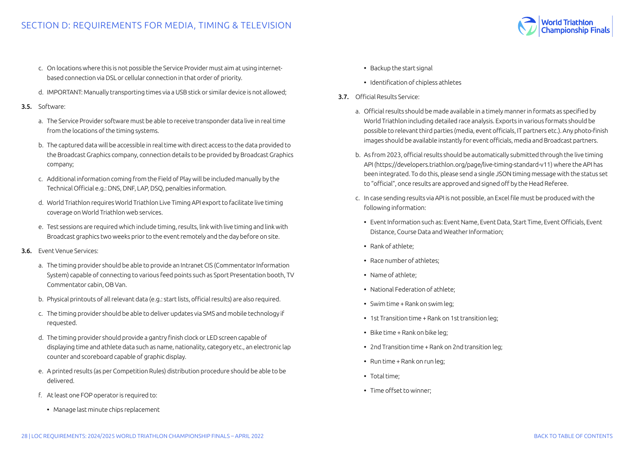

- d. IMPORTANT: Manually transporting times via a USB stick or similar device is not allowed;
- 3.5. Software:
	- a. The Service Provider software must be able to receive transponder data live in real time from the locations of the timing systems.
	- b. The captured data will be accessible in real time with direct access to the data provided to the Broadcast Graphics company, connection details to be provided by Broadcast Graphics company;
	- c. Additional information coming from the Field of Play will be included manually by the Technical Official e.g.: DNS, DNF, LAP, DSQ, penalties information.
	- d. World Triathlon requires World Triathlon Live Timing API export to facilitate live timing coverage on World Triathlon web services.
	- e. Test sessions are required which include timing, results, link with live timing and link with Broadcast graphics two weeks prior to the event remotely and the day before on site.
- 3.6. Event Venue Services:
	- a. The timing provider should be able to provide an Intranet CIS (Commentator Information System) capable of connecting to various feed points such as Sport Presentation booth, TV Commentator cabin, OB Van.
	- b. Physical printouts of all relevant data (e.g.: start lists, official results) are also required.
	- c. The timing provider should be able to deliver updates via SMS and mobile technology if requested.
	- d. The timing provider should provide a gantry finish clock or LED screen capable of displaying time and athlete data such as name, nationality, category etc., an electronic lap counter and scoreboard capable of graphic display.
	- e. A printed results (as per Competition Rules) distribution procedure should be able to be delivered.
	- f. At least one FOP operator is required to:
		- Manage last minute chips replacement
- Backup the start signal
- Identification of chipless athletes
- 3.7. Official Results Service:
	- a. Official results should be made available in a timely manner in formats as specified by World Triathlon including detailed race analysis. Exports in various formats should be possible to relevant third parties (media, event officials, IT partners etc.). Any photo-finish images should be available instantly for event officials, media and Broadcast partners.
	- b. As from 2023, official results should be automatically submitted through the live timing API (https://developers.triathlon.org/page/live-timing-standard-v11) where the API has been integrated. To do this, please send a single JSON timing message with the status set to "official", once results are approved and signed off by the Head Referee.
	- c. In case sending results via API is not possible, an Excel file must be produced with the following information:
		- Event Information such as: Event Name, Event Data, Start Time, Event Officials, Event Distance, Course Data and Weather Information;
		- Rank of athlete;
		- Race number of athletes;
		- Name of athlete;
		- National Federation of athlete;
		- Swim time + Rank on swim leg;
		- 1st Transition time + Rank on 1st transition leg;
		- Bike time + Rank on bike leg;
		- 2nd Transition time + Rank on 2nd transition leg;
		- Run time + Rank on run leg;
		- Total time;
		- Time offset to winner;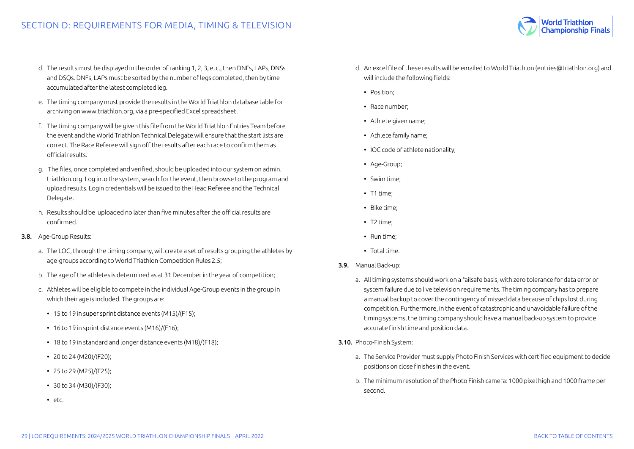

- e. The timing company must provide the results in the World Triathlon database table for archiving on www.triathlon.org, via a pre-specified Excel spreadsheet.
- f. The timing company will be given this file from the World Triathlon Entries Team before the event and the World Triathlon Technical Delegate will ensure that the start lists are correct. The Race Referee will sign off the results after each race to confirm them as official results.
- g. The files, once completed and verified, should be uploaded into our system on admin. triathlon.org. Log into the system, search for the event, then browse to the program and upload results. Login credentials will be issued to the Head Referee and the Technical Delegate.
- h. Results should be uploaded no later than five minutes after the official results are confirmed.

#### 3.8. Age-Group Results:

- a. The LOC, through the timing company, will create a set of results grouping the athletes by age-groups according to World Triathlon Competition Rules 2.5;
- b. The age of the athletes is determined as at 31 December in the year of competition;
- c. Athletes will be eligible to compete in the individual Age-Group events in the group in which their age is included. The groups are:
	- 15 to 19 in super sprint distance events (M15)/(F15);
	- 16 to 19 in sprint distance events (M16)/(F16);
	- 18 to 19 in standard and longer distance events (M18)/(F18);
	- 20 to 24 (M20)/(F20);
	- 25 to 29 (M25)/(F25);
	- $\cdot$  30 to 34 (M30)/(F30);
	- etc.
- d. An excel file of these results will be emailed to World Triathlon (entries@triathlon.org) and will include the following fields:
	- Position;
	- Race number;
	- Athlete given name;
	- Athlete family name;
	- IOC code of athlete nationality;
	- Age-Group;
	- Swim time;
	- T1 time;
	- Bike time;
	- T2 time;
	- Run time;
	- Total time.
- 3.9. Manual Back-up:
	- a. All timing systems should work on a failsafe basis, with zero tolerance for data error or system failure due to live television requirements. The timing company has to prepare a manual backup to cover the contingency of missed data because of chips lost during competition. Furthermore, in the event of catastrophic and unavoidable failure of the timing systems, the timing company should have a manual back-up system to provide accurate finish time and position data.
- 3.10. Photo-Finish System:
	- a. The Service Provider must supply Photo Finish Services with certified equipment to decide positions on close finishes in the event.
	- b. The minimum resolution of the Photo Finish camera: 1000 pixel high and 1000 frame per second.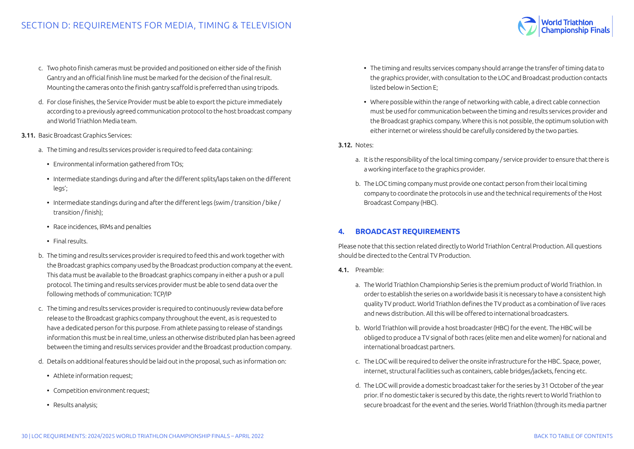- <span id="page-29-0"></span>c. Two photo finish cameras must be provided and positioned on either side of the finish Gantry and an official finish line must be marked for the decision of the final result. Mounting the cameras onto the finish gantry scaffold is preferred than using tripods.
- d. For close finishes, the Service Provider must be able to export the picture immediately according to a previously agreed communication protocol to the host broadcast company and World Triathlon Media team.
- 3.11. Basic Broadcast Graphics Services:
	- a. The timing and results services provider is required to feed data containing:
		- Environmental information gathered from TOs;
		- Intermediate standings during and after the different splits/laps taken on the different legs';
		- Intermediate standings during and after the different legs (swim / transition / bike / transition / finish);
		- Race incidences, IRMs and penalties
		- Final results.
	- b. The timing and results services provider is required to feed this and work together with the Broadcast graphics company used by the Broadcast production company at the event. This data must be available to the Broadcast graphics company in either a push or a pull protocol. The timing and results services provider must be able to send data over the following methods of communication: TCP/IP
	- c. The timing and results services provider is required to continuously review data before release to the Broadcast graphics company throughout the event, as is requested to have a dedicated person for this purpose. From athlete passing to release of standings information this must be in real time, unless an otherwise distributed plan has been agreed between the timing and results services provider and the Broadcast production company.
	- d. Details on additional features should be laid out in the proposal, such as information on:
		- Athlete information request:
		- Competition environment request;
		- Results analysis;
- The timing and results services company should arrange the transfer of timing data to the graphics provider, with consultation to the LOC and Broadcast production contacts listed below in Section E;
- Where possible within the range of networking with cable, a direct cable connection must be used for communication between the timing and results services provider and the Broadcast graphics company. Where this is not possible, the optimum solution with either internet or wireless should be carefully considered by the two parties.
- 3.12. Notes:
	- a. It is the responsibility of the local timing company / service provider to ensure that there is a working interface to the graphics provider.
	- b. The LOC timing company must provide one contact person from their local timing company to coordinate the protocols in use and the technical requirements of the Host Broadcast Company (HBC).

# **4. BROADCAST REQUIREMENTS**

Please note that this section related directly to World Triathlon Central Production. All questions should be directed to the Central TV Production.

- 4.1. Preamble:
	- a. The World Triathlon Championship Series is the premium product of World Triathlon. In order to establish the series on a worldwide basis it is necessary to have a consistent high quality TV product. World Triathlon defines the TV product as a combination of live races and news distribution. All this will be offered to international broadcasters.
	- b. World Triathlon will provide a host broadcaster (HBC) for the event. The HBC will be obliged to produce a TV signal of both races (elite men and elite women) for national and international broadcast partners.
	- c. The LOC will be required to deliver the onsite infrastructure for the HBC. Space, power, internet, structural facilities such as containers, cable bridges/jackets, fencing etc.
	- d. The LOC will provide a domestic broadcast taker for the series by 31 October of the year prior. If no domestic taker is secured by this date, the rights revert to World Triathlon to secure broadcast for the event and the series. World Triathlon (through its media partner

World Triathlon<br>Championship Finals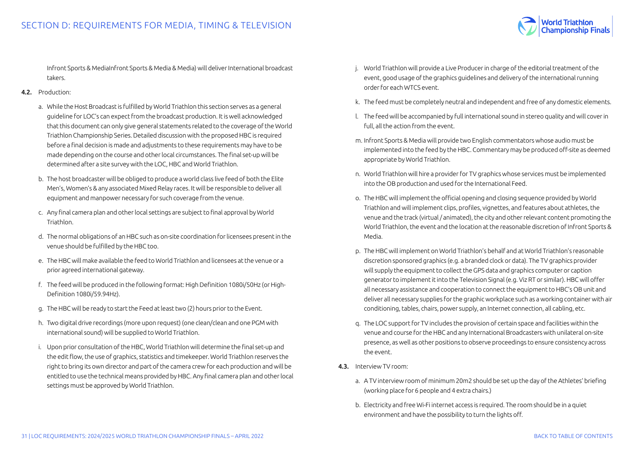

Infront Sports & MediaInfront Sports & Media & Media) will deliver International broadcast takers.

#### 4.2. Production:

- a. While the Host Broadcast is fulfilled by World Triathlon this section serves as a general guideline for LOC's can expect from the broadcast production. It is well acknowledged that this document can only give general statements related to the coverage of the World Triathlon Championship Series. Detailed discussion with the proposed HBC is required before a final decision is made and adjustments to these requirements may have to be made depending on the course and other local circumstances. The final set-up will be determined after a site survey with the LOC, HBC and World Triathlon.
- b. The host broadcaster will be obliged to produce a world class live feed of both the Elite Men's, Women's & any associated Mixed Relay races. It will be responsible to deliver all equipment and manpower necessary for such coverage from the venue.
- c. Any final camera plan and other local settings are subject to final approval by World Triathlon.
- d. The normal obligations of an HBC such as on-site coordination for licensees present in the venue should be fulfilled by the HBC too.
- e. The HBC will make available the feed to World Triathlon and licensees at the venue or a prior agreed international gateway.
- f. The feed will be produced in the following format: High Definition 1080i/50Hz (or High-Definition 1080i/59.94Hz).
- g. The HBC will be ready to start the Feed at least two (2) hours prior to the Event.
- h. Two digital drive recordings (more upon request) (one clean/clean and one PGM with international sound) will be supplied to World Triathlon.
- i. Upon prior consultation of the HBC, World Triathlon will determine the final set-up and the edit flow, the use of graphics, statistics and timekeeper. World Triathlon reserves the right to bring its own director and part of the camera crew for each production and will be entitled to use the technical means provided by HBC. Any final camera plan and other local settings must be approved by World Triathlon.
- j. World Triathlon will provide a Live Producer in charge of the editorial treatment of the event, good usage of the graphics guidelines and delivery of the international running order for each WTCS event.
- k. The feed must be completely neutral and independent and free of any domestic elements.
- l. The feed will be accompanied by full international sound in stereo quality and will cover in full, all the action from the event.
- m. Infront Sports & Media will provide two English commentators whose audio must be implemented into the feed by the HBC. Commentary may be produced off-site as deemed appropriate by World Triathlon.
- n. World Triathlon will hire a provider for TV graphics whose services must be implemented into the OB production and used for the International Feed.
- o. The HBC will implement the official opening and closing sequence provided by World Triathlon and will implement clips, profiles, vignettes, and features about athletes, the venue and the track (virtual / animated), the city and other relevant content promoting the World Triathlon, the event and the location at the reasonable discretion of Infront Sports & Media.
- p. The HBC will implement on World Triathlon's behalf and at World Triathlon's reasonable discretion sponsored graphics (e.g. a branded clock or data). The TV graphics provider will supply the equipment to collect the GPS data and graphics computer or caption generator to implement it into the Television Signal (e.g. Viz RT or similar). HBC will offer all necessary assistance and cooperation to connect the equipment to HBC's OB unit and deliver all necessary supplies for the graphic workplace such as a working container with air conditioning, tables, chairs, power supply, an Internet connection, all cabling, etc.
- q. The LOC support for TV includes the provision of certain space and facilities within the venue and course for the HBC and any International Broadcasters with unilateral on-site presence, as well as other positions to observe proceedings to ensure consistency across the event.
- 4.3. Interview TV room:
	- a. A TV interview room of minimum 20m2 should be set up the day of the Athletes' briefing (working place for 6 people and 4 extra chairs.)
	- b. Electricity and free Wi-Fi internet access is required. The room should be in a quiet environment and have the possibility to turn the lights off.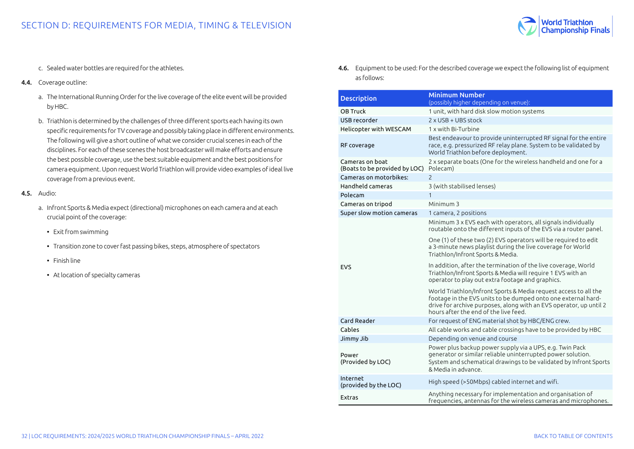

- c. Sealed water bottles are required for the athletes.
- 4.4. Coverage outline:
	- a. The International Running Order for the live coverage of the elite event will be provided by HBC.
	- b. Triathlon is determined by the challenges of three different sports each having its own specific requirements for TV coverage and possibly taking place in different environments. The following will give a short outline of what we consider crucial scenes in each of the disciplines. For each of these scenes the host broadcaster will make efforts and ensure the best possible coverage, use the best suitable equipment and the best positions for camera equipment. Upon request World Triathlon will provide video examples of ideal live coverage from a previous event.
- 4.5. Audio:
	- a. Infront Sports & Media expect (directional) microphones on each camera and at each crucial point of the coverage:
		- Exit from swimming
		- Transition zone to cover fast passing bikes, steps, atmosphere of spectators
		- Finish line
		- At location of specialty cameras

4.6. Equipment to be used: For the described coverage we expect the following list of equipment as follows:

| <b>Description</b>                               | <b>Minimum Number</b><br>(possibly higher depending on venue):                                                                                                                                                                                   |
|--------------------------------------------------|--------------------------------------------------------------------------------------------------------------------------------------------------------------------------------------------------------------------------------------------------|
| OB Truck                                         | 1 unit, with hard disk slow motion systems                                                                                                                                                                                                       |
| USB recorder                                     | 2 x USB + UBS stock                                                                                                                                                                                                                              |
| Helicopter with WESCAM                           | 1 x with Bi-Turbine                                                                                                                                                                                                                              |
| RF coverage                                      | Best endeavour to provide uninterrupted RF signal for the entire<br>race, e.g. pressurized RF relay plane. System to be validated by<br>World Triathlon before deployment.                                                                       |
| Cameras on boat<br>(Boats to be provided by LOC) | 2 x separate boats (One for the wireless handheld and one for a<br>Polecam)                                                                                                                                                                      |
| Cameras on motorbikes:                           | $\mathcal{P}$                                                                                                                                                                                                                                    |
| Handheld cameras                                 | 3 (with stabilised lenses)                                                                                                                                                                                                                       |
| Polecam                                          | 1                                                                                                                                                                                                                                                |
| Cameras on tripod                                | Minimum 3                                                                                                                                                                                                                                        |
| Super slow motion cameras                        | 1 camera, 2 positions                                                                                                                                                                                                                            |
|                                                  | Minimum 3 x EVS each with operators, all signals individually<br>routable onto the different inputs of the EVS via a router panel.                                                                                                               |
|                                                  | One (1) of these two (2) EVS operators will be required to edit<br>a 3-minute news playlist during the live coverage for World<br>Triathlon/Infront Sports & Media.                                                                              |
| <b>EVS</b>                                       | In addition, after the termination of the live coverage, World<br>Triathlon/Infront Sports & Media will require 1 EVS with an<br>operator to play out extra footage and graphics.                                                                |
|                                                  | World Triathlon/Infront Sports & Media request access to all the<br>footage in the EVS units to be dumped onto one external hard-<br>drive for archive purposes, along with an EVS operator, up until 2<br>hours after the end of the live feed. |
| Card Reader                                      | For request of ENG material shot by HBC/ENG crew.                                                                                                                                                                                                |
| Cables                                           | All cable works and cable crossings have to be provided by HBC                                                                                                                                                                                   |
| Jimmy Jib                                        | Depending on venue and course                                                                                                                                                                                                                    |
| Power<br>(Provided by LOC)                       | Power plus backup power supply via a UPS, e.g. Twin Pack<br>generator or similar reliable uninterrupted power solution.<br>System and schematical drawings to be validated by Infront Sports<br>& Media in advance.                              |
| Internet<br>(provided by the LOC)                | High speed (>50Mbps) cabled internet and wifi.                                                                                                                                                                                                   |
| Extras                                           | Anything necessary for implementation and organisation of<br>frequencies, antennas for the wireless cameras and microphones.                                                                                                                     |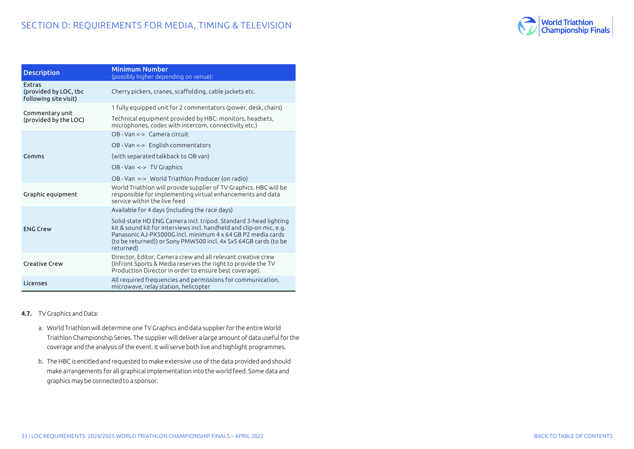

| <b>Description</b>                                       | Minimum Number<br>(possibly higher depending on venue):                                                                                                                                                                                                                                |
|----------------------------------------------------------|----------------------------------------------------------------------------------------------------------------------------------------------------------------------------------------------------------------------------------------------------------------------------------------|
| Extras<br>(provided by LOC, tbc<br>following site visit) | Cherry pickers, cranes, scaffolding, cable jackets etc.                                                                                                                                                                                                                                |
| Commentary unit                                          | 1 fully equipped unit for 2 commentators (power, desk, chairs)                                                                                                                                                                                                                         |
| (provided by the LOC)                                    | Technical equipment provided by HBC: monitors, headsets,<br>microphones, codec with intercom, connectivity etc.)                                                                                                                                                                       |
|                                                          | OB - Van <-> Camera circuit                                                                                                                                                                                                                                                            |
|                                                          | OB - Van <-> English commentators                                                                                                                                                                                                                                                      |
| Comms                                                    | (with separated talkback to OB van)                                                                                                                                                                                                                                                    |
|                                                          | OB - Van <-> TV Graphics                                                                                                                                                                                                                                                               |
|                                                          | OB - Van <-> World Triathlon Producer (on radio)                                                                                                                                                                                                                                       |
| Graphic equipment                                        | World Triathlon will provide supplier of TV Graphics. HBC will be<br>responsible for implementing virtual enhancements and data<br>service within the live feed                                                                                                                        |
|                                                          | Available for 4 days (including the race days)                                                                                                                                                                                                                                         |
| <b>FNG Crew</b>                                          | Solid-state HD ENG Camera incl. tripod. Standard 3-head lighting<br>kit & sound kit for interviews incl. handheld and clip-on mic, e.g.<br>Panasonic AJ-PX5000G incl. minimum 4 x 64 GB P2 media cards<br>(to be returned)) or Sony PMW500 incl. 4x SxS 64GB cards (to be<br>returned) |
| Creative Crew                                            | Director, Editor, Camera crew and all relevant creative crew<br>(Infront Sports & Media reserves the right to provide the TV<br>Production Director in order to ensure best coverage).                                                                                                 |
| Licenses                                                 | All required frequencies and permissions for communication,<br>microwave, relay station, helicopter                                                                                                                                                                                    |

# 4.7. TV Graphics and Data:

- a. World Triathlon will determine one TV Graphics and data supplier for the entire World Triathlon Championship Series. The supplier will deliver a large amount of data useful for the coverage and the analysis of the event. It will serve both live and highlight programmes.
- b. The HBC is entitled and requested to make extensive use of the data provided and should make arrangements for all graphical implementation into the world feed. Some data and graphics may be connected to a sponsor.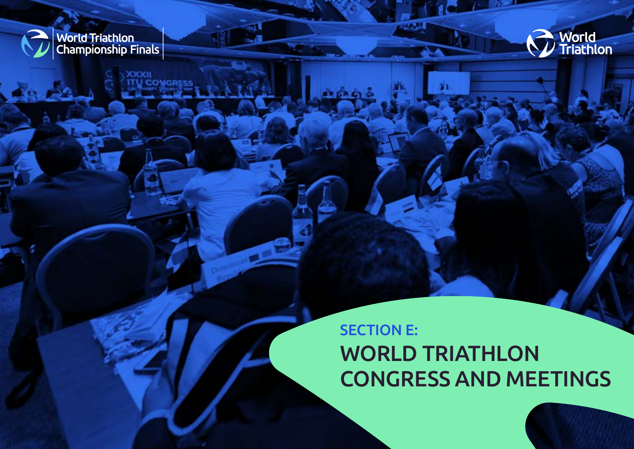<span id="page-33-0"></span>

**SECTION MORE THE**<br>**SECTION DEPARTMENTS** 

OOOH

ONGRE



# SECTION E: WORLD TRIATHLON CONGRESS AND MEETINGS

34 | LOC REQUIREMENTS: 2024/2025 WORLD TRIATHLON CHAMPIONSHIP FINALS – APRIL 2022 [BACK TO TABLE OF CONTENTS](#page-1-0) 

 $2.5.08$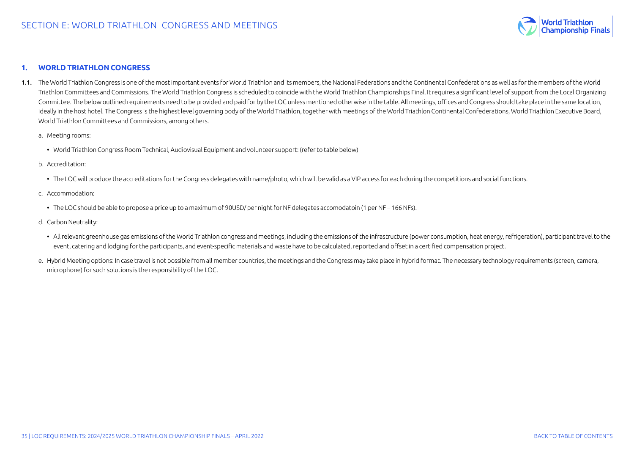

#### <span id="page-34-0"></span>**1. WORLD TRIATHLON CONGRESS**

- 1.1. The World Triathlon Congress is one of the most important events for World Triathlon and its members, the National Federations and the Continental Confederations as well as for the members of the World Triathlon Committees and Commissions. The World Triathlon Congress is scheduled to coincide with the World Triathlon Championships Final. It requires a significant level of support from the Local Organizing Committee. The below outlined requirements need to be provided and paid for by the LOC unless mentioned otherwise in the table. All meetings, offices and Congress should take place in the same location, ideally in the host hotel. The Congress is the highest level governing body of the World Triathlon, together with meetings of the World Triathlon Continental Confederations, World Triathlon Executive Board, World Triathlon Committees and Commissions, among others.
	- a. Meeting rooms:
		- World Triathlon Congress Room Technical, Audiovisual Equipment and volunteer support: (refer to table below)

#### b. Accreditation:

- The LOC will produce the accreditations for the Congress delegates with name/photo, which will be valid as a VIP access for each during the competitions and social functions.
- c. Accommodation:
	- The LOC should be able to propose a price up to a maximum of 90USD/ per night for NF delegates accomodatoin (1 per NF 166 NFs).
- d. Carbon Neutrality:
	- All relevant greenhouse gas emissions of the World Triathlon congress and meetings, including the emissions of the infrastructure (power consumption, heat energy, refrigeration), participant travel to the event, catering and lodging for the participants, and event-specific materials and waste have to be calculated, reported and offset in a certified compensation project.
- e. Hybrid Meeting options: In case travel is not possible from all member countries, the meetings and the Congress may take place in hybrid format. The necessary technology requirements (screen, camera, microphone) for such solutions is the responsibility of the LOC.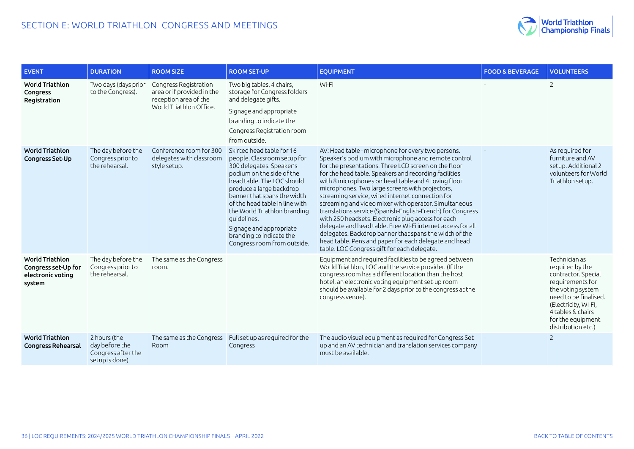

| <b>EVENT</b>                                                                 | <b>DURATION</b>                                                        | <b>ROOM SIZE</b>                                                                                        | <b>ROOM SET-UP</b>                                                                                                                                                                                                                                                                                                                                                                | <b>EOUIPMENT</b>                                                                                                                                                                                                                                                                                                                                                                                                                                                                                                                                                                                                                                                                                                                                                                                       | <b>FOOD &amp; BEVERAGE</b> | <b>VOLUNTEERS</b>                                                                                                                                                                                                 |
|------------------------------------------------------------------------------|------------------------------------------------------------------------|---------------------------------------------------------------------------------------------------------|-----------------------------------------------------------------------------------------------------------------------------------------------------------------------------------------------------------------------------------------------------------------------------------------------------------------------------------------------------------------------------------|--------------------------------------------------------------------------------------------------------------------------------------------------------------------------------------------------------------------------------------------------------------------------------------------------------------------------------------------------------------------------------------------------------------------------------------------------------------------------------------------------------------------------------------------------------------------------------------------------------------------------------------------------------------------------------------------------------------------------------------------------------------------------------------------------------|----------------------------|-------------------------------------------------------------------------------------------------------------------------------------------------------------------------------------------------------------------|
| <b>World Triathlon</b><br>Congress<br>Registration                           | Two days (days prior<br>to the Congress).                              | Congress Registration<br>area or if provided in the<br>reception area of the<br>World Triathlon Office. | Two big tables, 4 chairs,<br>storage for Congress folders<br>and delegate gifts.<br>Signage and appropriate<br>branding to indicate the<br>Congress Registration room<br>from outside.                                                                                                                                                                                            | Wi-Fi                                                                                                                                                                                                                                                                                                                                                                                                                                                                                                                                                                                                                                                                                                                                                                                                  |                            | $\overline{2}$                                                                                                                                                                                                    |
| <b>World Triathlon</b><br><b>Congress Set-Up</b>                             | The day before the<br>Congress prior to<br>the rehearsal.              | Conference room for 300<br>delegates with classroom<br>style setup.                                     | Skirted head table for 16<br>people. Classroom setup for<br>300 delegates. Speaker's<br>podium on the side of the<br>head table. The LOC should<br>produce a large backdrop<br>banner that spans the width<br>of the head table in line with<br>the World Triathlon branding<br>quidelines.<br>Signage and appropriate<br>branding to indicate the<br>Congress room from outside. | AV: Head table - microphone for every two persons.<br>Speaker's podium with microphone and remote control<br>for the presentations. Three LCD screen on the floor<br>for the head table. Speakers and recording facilities<br>with 8 microphones on head table and 4 roving floor<br>microphones. Two large screens with projectors,<br>streaming service, wired internet connection for<br>streaming and video mixer with operator. Simultaneous<br>translations service (Spanish-English-French) for Congress<br>with 250 headsets. Electronic plug access for each<br>delegate and head table. Free Wi-Fi internet access for all<br>delegates. Backdrop banner that spans the width of the<br>head table. Pens and paper for each delegate and head<br>table. LOC Congress gift for each delegate. |                            | As required for<br>furniture and AV<br>setup. Additional 2<br>volunteers for World<br>Triathlon setup.                                                                                                            |
| <b>World Triathlon</b><br>Congress set-Up for<br>electronic voting<br>system | The day before the<br>Congress prior to<br>the rehearsal.              | The same as the Congress<br>room.                                                                       |                                                                                                                                                                                                                                                                                                                                                                                   | Equipment and required facilities to be agreed between<br>World Triathlon, LOC and the service provider. (If the<br>congress room has a different location than the host<br>hotel, an electronic voting equipment set-up room<br>should be available for 2 days prior to the congress at the<br>congress venue).                                                                                                                                                                                                                                                                                                                                                                                                                                                                                       |                            | Technician as<br>required by the<br>contractor. Special<br>requirements for<br>the voting system<br>need to be finalised.<br>(Electricity, WI-FI,<br>4 tables & chairs<br>for the equipment<br>distribution etc.) |
| <b>World Triathlon</b><br><b>Congress Rehearsal</b>                          | 2 hours (the<br>day before the<br>Congress after the<br>setup is done) | The same as the Congress<br>Room                                                                        | Full set up as required for the<br>Congress                                                                                                                                                                                                                                                                                                                                       | The audio visual equipment as required for Congress Set-<br>up and an AV technician and translation services company<br>must be available.                                                                                                                                                                                                                                                                                                                                                                                                                                                                                                                                                                                                                                                             |                            | $\overline{2}$                                                                                                                                                                                                    |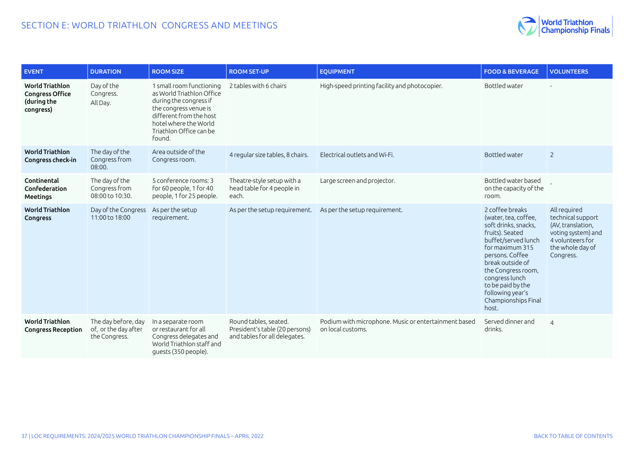

| <b>EVENT</b>                                                                 | <b>DURATION</b>                                              | <b>ROOM SIZE</b>                                                                                                                                                                                  | <b>ROOM SET-UP</b>                                                                       | <b>EOUIPMENT</b>                                                          | <b>FOOD &amp; BEVERAGE</b>                                                                                                                                                                                                                                                           | <b>VOLUNTEERS</b>                                                                                                                 |
|------------------------------------------------------------------------------|--------------------------------------------------------------|---------------------------------------------------------------------------------------------------------------------------------------------------------------------------------------------------|------------------------------------------------------------------------------------------|---------------------------------------------------------------------------|--------------------------------------------------------------------------------------------------------------------------------------------------------------------------------------------------------------------------------------------------------------------------------------|-----------------------------------------------------------------------------------------------------------------------------------|
| <b>World Triathlon</b><br><b>Congress Office</b><br>(during the<br>congress) | Day of the<br>Congress.<br>All Day.                          | 1 small room functioning<br>as World Triathlon Office<br>during the congress if<br>the congress venue is<br>different from the host<br>hotel where the World<br>Triathlon Office can be<br>found. | 2 tables with 6 chairs                                                                   | High-speed printing facility and photocopier.                             | Bottled water                                                                                                                                                                                                                                                                        |                                                                                                                                   |
| <b>World Triathlon</b><br>Congress check-in                                  | The day of the<br>Congress from<br>08:00.                    | Area outside of the<br>Congress room.                                                                                                                                                             | 4 regular size tables, 8 chairs.                                                         | Electrical outlets and Wi-Fi.                                             | Bottled water                                                                                                                                                                                                                                                                        | $\overline{2}$                                                                                                                    |
| Continental<br>Confederation<br><b>Meetings</b>                              | The day of the<br>Congress from<br>08:00 to 10:30.           | 5 conference rooms: 3<br>for 60 people, 1 for 40<br>people, 1 for 25 people.                                                                                                                      | Theatre-style setup with a<br>head table for 4 people in<br>each.                        | Large screen and projector.                                               | Bottled water based<br>on the capacity of the<br>room.                                                                                                                                                                                                                               |                                                                                                                                   |
| <b>World Triathlon</b><br>Congress                                           | Day of the Congress<br>11:00 to 18:00                        | As per the setup<br>requirement.                                                                                                                                                                  | As per the setup requirement.                                                            | As per the setup requirement.                                             | 2 coffee breaks<br>(water, tea, coffee,<br>soft drinks, snacks,<br>fruits). Seated<br>buffet/served lunch<br>for maximum 315<br>persons. Coffee<br>break outside of<br>the Congress room,<br>congress lunch<br>to be paid by the<br>following year's<br>Championships Final<br>host. | All required<br>technical support<br>(AV, translation,<br>voting system) and<br>4 volunteers for<br>the whole day of<br>Congress. |
| <b>World Triathlon</b><br><b>Congress Reception</b>                          | The day before, day<br>of, or the day after<br>the Congress. | In a separate room<br>or restaurant for all<br>Congress delegates and<br>World Triathlon staff and<br>guests (350 people).                                                                        | Round tables, seated.<br>President's table (20 persons)<br>and tables for all delegates. | Podium with microphone. Music or entertainment based<br>on local customs. | Served dinner and<br>drinks.                                                                                                                                                                                                                                                         | $\overline{4}$                                                                                                                    |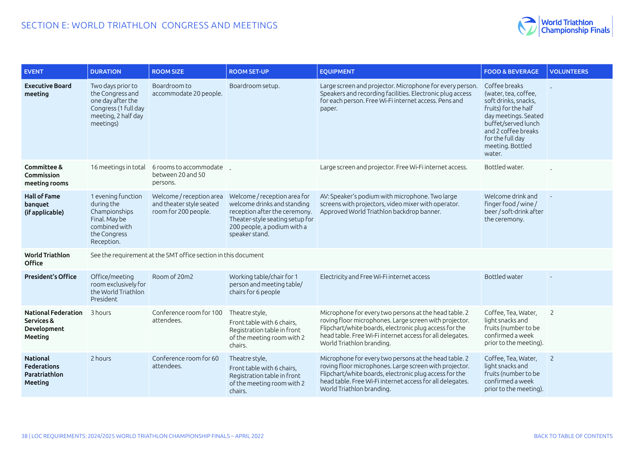

| <b>EVENT</b>                                                       | <b>DURATION</b>                                                                                                        | <b>ROOM SIZE</b>                                                             | <b>ROOM SET-UP</b>                                                                                                                                                               | <b>EQUIPMENT</b>                                                                                                                                                                                                                                                    | <b>FOOD &amp; BEVERAGE</b>                                                                                                                                                                                    | <b>VOLUNTEERS</b> |
|--------------------------------------------------------------------|------------------------------------------------------------------------------------------------------------------------|------------------------------------------------------------------------------|----------------------------------------------------------------------------------------------------------------------------------------------------------------------------------|---------------------------------------------------------------------------------------------------------------------------------------------------------------------------------------------------------------------------------------------------------------------|---------------------------------------------------------------------------------------------------------------------------------------------------------------------------------------------------------------|-------------------|
| <b>Executive Board</b><br>meeting                                  | Two days prior to<br>the Congress and<br>one day after the<br>Congress (1 full day<br>meeting, 2 half day<br>meetings) | Boardroom to<br>accommodate 20 people.                                       | Boardroom setup.                                                                                                                                                                 | Large screen and projector. Microphone for every person.<br>Speakers and recording facilities. Electronic plug access<br>for each person. Free Wi-Fi internet access. Pens and<br>рарег.                                                                            | Coffee breaks<br>(water, tea, coffee,<br>soft drinks, snacks,<br>fruits) for the half<br>day meetings. Seated<br>buffet/served lunch<br>and 2 coffee breaks<br>for the full day<br>meeting. Bottled<br>water. |                   |
| Committee &<br>Commission<br>meeting rooms                         | 16 meetings in total                                                                                                   | 6 rooms to accommodate<br>between 20 and 50<br>persons.                      |                                                                                                                                                                                  | Large screen and projector. Free Wi-Fi internet access.                                                                                                                                                                                                             | Bottled water.                                                                                                                                                                                                |                   |
| <b>Hall of Fame</b><br>banguet<br>(if applicable)                  | 1 evening function<br>during the<br>Championships<br>Final. May be<br>combined with<br>the Congress<br>Reception.      | Welcome / reception area<br>and theater style seated<br>room for 200 people. | Welcome / reception area for<br>welcome drinks and standing<br>reception after the ceremony.<br>Theater-style seating setup for<br>200 people, a podium with a<br>speaker stand. | AV: Speaker's podium with microphone. Two large<br>screens with projectors, video mixer with operator.<br>Approved World Triathlon backdrop banner.                                                                                                                 | Welcome drink and<br>finger food / wine /<br>beer / soft-drink after<br>the ceremony.                                                                                                                         |                   |
| <b>World Triathlon</b><br>Office                                   |                                                                                                                        | See the requirement at the SMT office section in this document               |                                                                                                                                                                                  |                                                                                                                                                                                                                                                                     |                                                                                                                                                                                                               |                   |
| <b>President's Office</b>                                          | Office/meeting<br>room exclusively for<br>the World Triathlon<br>President                                             | Room of 20m2                                                                 | Working table/chair for 1<br>person and meeting table/<br>chairs for 6 people                                                                                                    | Electricity and Free Wi-Fi internet access                                                                                                                                                                                                                          | Bottled water                                                                                                                                                                                                 |                   |
| <b>National Federation</b><br>Services &<br>Development<br>Meeting | 3 hours                                                                                                                | Conference room for 100<br>attendees.                                        | Theatre style,<br>Front table with 6 chairs,<br>Registration table in front<br>of the meeting room with 2<br>chairs.                                                             | Microphone for every two persons at the head table. 2<br>roving floor microphones. Large screen with projector.<br>Flipchart/white boards, electronic plug access for the<br>head table. Free Wi-Fi internet access for all delegates.<br>World Triathlon branding. | Coffee, Tea, Water,<br>light snacks and<br>fruits (number to be<br>confirmed a week<br>prior to the meeting).                                                                                                 | $\overline{2}$    |
| National<br><b>Federations</b><br>Paratriathlon<br>Meeting         | 2 hours                                                                                                                | Conference room for 60<br>attendees.                                         | Theatre style,<br>Front table with 6 chairs,<br>Registration table in front<br>of the meeting room with 2<br>chairs.                                                             | Microphone for every two persons at the head table. 2<br>roving floor microphones. Large screen with projector.<br>Flipchart/white boards, electronic plug access for the<br>head table. Free Wi-Fi internet access for all delegates.<br>World Triathlon branding. | Coffee, Tea, Water,<br>light snacks and<br>fruits (number to be<br>confirmed a week<br>prior to the meeting).                                                                                                 | $\overline{c}$    |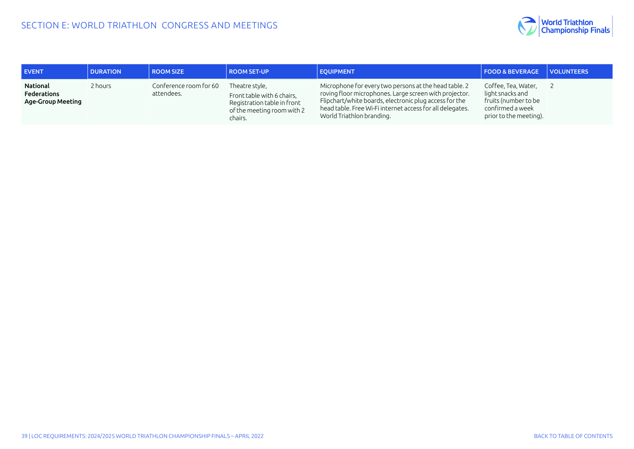

| <b>EVENT</b>                                        | <b>DURATION</b> | <b>ROOM SIZE</b>                     | <b>ROOM SET-UP</b>                                                                                                   | <b>EQUIPMENT</b>                                                                                                                                                                                                                                                    | <b>FOOD &amp; BEVERAGE VOLUNTEERS</b>                                                                         |  |
|-----------------------------------------------------|-----------------|--------------------------------------|----------------------------------------------------------------------------------------------------------------------|---------------------------------------------------------------------------------------------------------------------------------------------------------------------------------------------------------------------------------------------------------------------|---------------------------------------------------------------------------------------------------------------|--|
| National<br><b>Federations</b><br>Age-Group Meeting | 2 hours         | Conference room for 60<br>attendees. | Theatre style,<br>Front table with 6 chairs,<br>Registration table in front<br>of the meeting room with 2<br>chairs. | Microphone for every two persons at the head table. 2<br>roving floor microphones. Large screen with projector.<br>Flipchart/white boards, electronic plug access for the<br>head table. Free Wi-Fi internet access for all delegates.<br>World Triathlon branding. | Coffee, Tea, Water,<br>light snacks and<br>fruits (number to be<br>confirmed a week<br>prior to the meeting). |  |